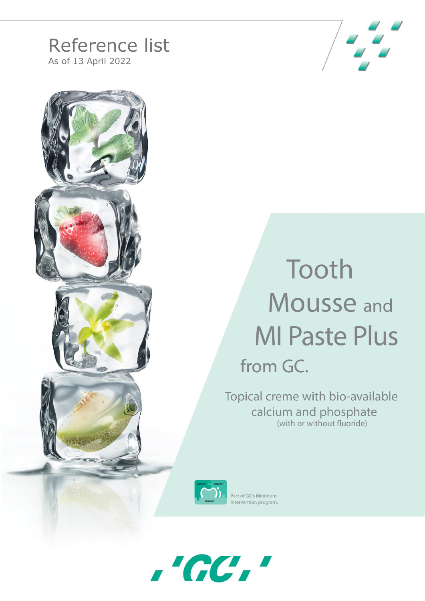## Reference list

As of 13 April 2022





## Tooth **Mousse and MI Paste Plus** from GC.

Topical creme with bio-available calcium and phosphate (with or without fluoride)



Part of GC's Minimum Intervention program

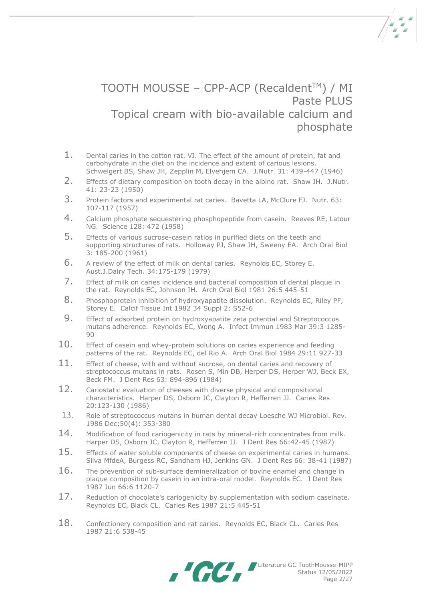## TOOTH MOUSSE – CPP-ACP (Recaldent™) / MI Paste PLUS Topical cream with bio-available calcium and phosphate

- 1. Dental caries in the cotton rat. VI. The effect of the amount of protein, fat and carbohydrate in the diet on the incidence and extent of carious lesions. Schweigert BS, Shaw JH, Zepplin M, Elvehjem CA. J.Nutr. 31: 439-447 (1946)
- 2. Effects of dietary composition on tooth decay in the albino rat. Shaw JH. J.Nutr. 41: 23-23 (1950)
- 3. Protein factors and experimental rat caries. Bavetta LA, McClure FJ. Nutr. 63: 107-117 (1957)
- 4. Calcium phosphate sequestering phosphopeptide from casein. Reeves RE, Latour NG. Science 128: 472 (1958)
- 5. Effects of various sucrose-casein ratios in purified diets on the teeth and supporting structures of rats. Holloway PJ, Shaw JH, Sweeny EA. Arch Oral Biol 3: 185-200 (1961)
- 6. A review of the effect of milk on dental caries. Reynolds EC, Storey E. Aust.J.Dairy Tech. 34:175-179 (1979)
- 7. Effect of milk on caries incidence and bacterial composition of dental plaque in the rat. Reynolds EC, Johnson IH. Arch Oral Biol 1981 26:5 445-51
- 8. Phosphoprotein inhibition of hydroxyapatite dissolution. [Reynolds EC,](http://research.bmn.com/medline/search/results?keyword_field=fullrec&order=rel&keywords=reynolds_ec:au) [Riley PF,](http://research.bmn.com/medline/search/results?keyword_field=fullrec&order=rel&keywords=riley_pf:au) [Storey E.](http://research.bmn.com/medline/search/results?keyword_field=fullrec&order=rel&keywords=storey_e:au) Calcif Tissue Int 1982 34 Suppl 2: S52-6
- 9. Effect of adsorbed protein on hydroxyapatite zeta potential and Streptococcus mutans adherence. [Reynolds EC,](http://research.bmn.com/medline/search/results?keyword_field=fullrec&order=rel&keywords=reynolds_ec:au) [Wong A.](http://research.bmn.com/medline/search/results?keyword_field=fullrec&order=rel&keywords=wong_a:au) Infect Immun 1983 Mar 39:3 1285-  $9<sub>0</sub>$
- 10. Effect of casein and whey-protein solutions on caries experience and feeding patterns of the rat. [Reynolds EC,](http://research.bmn.com/medline/search/results?keyword_field=fullrec&order=rel&keywords=reynolds_ec:au) [del Rio A.](http://research.bmn.com/medline/search/results?keyword_field=fullrec&order=rel&keywords=del_rio_a:au) Arch Oral Biol 1984 29:11 927-33
- $11.$  Effect of cheese, with and without sucrose, on dental caries and recovery of streptococcus mutans in rats. Rosen S, Min DB, Herper DS, Herper WJ, Beck EX, Beck FM. J Dent Res 63: 894-896 (1984)
- 12. Cariostatic evaluation of cheeses with diverse physical and compositional characteristics. Harper DS, Osborn JC, Clayton R, Hefferren JJ. Caries Res 20:123-130 (1986)
- 13. Role of streptococcus mutans in human dental decay Loesche WJ Microbiol. Rev. 1986 Dec;50(4): 353-380
- 14. Modification of food cariogenicity in rats by mineral-rich concentrates from milk. Harper DS, Osborn JC, Clayton R, Hefferren JJ. J Dent Res 66:42-45 (1987)
- 15. Effects of water soluble components of cheese on experimental caries in humans. Silva MfdeA, Burgess RC, Sandham HJ, Jenkins GN. J Dent Res 66: 38-41 (1987)
- 16. The prevention of sub-surface demineralization of bovine enamel and change in plaque composition by casein in an intra-oral model. [Reynolds EC.](http://research.bmn.com/medline/search/results?keyword_field=fullrec&order=rel&keywords=reynolds_ec:au) J Dent Res 1987 Jun 66:6 1120-7
- 17. Reduction of chocolate's cariogenicity by supplementation with sodium caseinate. [Reynolds EC,](http://research.bmn.com/medline/search/results?keyword_field=fullrec&order=rel&keywords=reynolds_ec:au) [Black CL.](http://research.bmn.com/medline/search/results?keyword_field=fullrec&order=rel&keywords=black_cl:au) Caries Res 1987 21:5 445-51
- 18. Confectionery composition and rat caries. [Reynolds EC,](http://research.bmn.com/medline/search/results?keyword_field=fullrec&order=rel&keywords=reynolds_ec:au) [Black CL.](http://research.bmn.com/medline/search/results?keyword_field=fullrec&order=rel&keywords=black_cl:au) Caries Res 1987 21:6 538-45

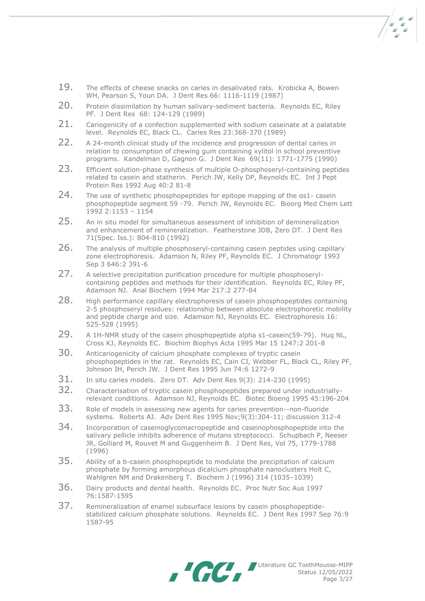- 19. The effects of cheese snacks on caries in desalivated rats. Krobicka A, Bowen WH, Pearson S, Youn DA. J Dent Res 66: 1116-1119 (1987)
- 20. Protein dissimilation by human salivary-sediment bacteria. Reynolds EC, Riley PF. J Dent Res 68: 124-129 (1989)
- 21. Cariogenicity of a confection supplemented with sodium caseinate at a palatable level. Reynolds EC, Black CL. Caries Res 23:368-370 (1989)
- 22. A 24-month clinical study of the incidence and progression of dental caries in relation to consumption of chewing gum containing xylitol in school preventive programs. Kandelman D, Gagnon G. J Dent Res 69(11): 1771-1775 (1990)
- 23. Efficient solution-phase synthesis of multiple O-phosphoseryl-containing peptides related to casein and statherin. [Perich JW,](http://research.bmn.com/medline/search/results?keyword_field=fullrec&order=rel&keywords=perich_jw:au) [Kelly DP,](http://research.bmn.com/medline/search/results?keyword_field=fullrec&order=rel&keywords=kelly_dp:au) [Reynolds EC.](http://research.bmn.com/medline/search/results?keyword_field=fullrec&order=rel&keywords=reynolds_ec:au) Int J Pept Protein Res 1992 Aug 40:2 81-8
- 24. The use of synthetic phosphopeptides for epitope mapping of the as1- casein phosphopeptide segment 59 -79. [Perich JW,](http://research.bmn.com/medline/search/results?keyword_field=fullrec&order=rel&keywords=adamson_n:au) [Reynolds EC.](http://research.bmn.com/medline/search/results?keyword_field=fullrec&order=rel&keywords=reynolds_ec:au) Bioorg Med Chem Lett 1992 2:1153 – 1154
- 25. An in situ model for simultaneous assessment of inhibition of demineralization and enhancement of remineralization. Featherstone JDB, Zero DT. J Dent Res 71(Spec. Iss.): 804-810 (1992)
- 26. The analysis of multiple phosphoseryl-containing casein peptides using capillary zone electrophoresis. [Adamson N,](http://research.bmn.com/medline/search/results?keyword_field=fullrec&order=rel&keywords=adamson_n:au) [Riley PF,](http://research.bmn.com/medline/search/results?keyword_field=fullrec&order=rel&keywords=riley_pf:au) [Reynolds EC.](http://research.bmn.com/medline/search/results?keyword_field=fullrec&order=rel&keywords=reynolds_ec:au) J Chromatogr 1993 Sep 3 646:2 391-6
- 27. A selective precipitation purification procedure for multiple phosphoserylcontaining peptides and methods for their identification. [Reynolds EC,](http://research.bmn.com/medline/search/results?keyword_field=fullrec&order=rel&keywords=reynolds_ec:au) [Riley PF,](http://research.bmn.com/medline/search/results?keyword_field=fullrec&order=rel&keywords=riley_pf:au) [Adamson NJ.](http://research.bmn.com/medline/search/results?keyword_field=fullrec&order=rel&keywords=adamson_nj:au) Anal Biochem 1994 Mar 217:2 277-84
- 28. High performance capillary electrophoresis of casein phosphopeptides containing 2-5 phosphoseryl residues: relationship between absolute electrophoretic mobility and peptide charge and size. Adamson NJ, Reynolds EC. Electrophoresis 16: 525-528 (1995)
- 29. A 1H-NMR study of the casein phosphopeptide alpha s1-casein(59-79). [Huq NL,](http://research.bmn.com/medline/search/results?keyword_field=fullrec&order=rel&keywords=huq_nl:au) [Cross KJ,](http://research.bmn.com/medline/search/results?keyword_field=fullrec&order=rel&keywords=cross_kj:au) [Reynolds EC.](http://research.bmn.com/medline/search/results?keyword_field=fullrec&order=rel&keywords=reynolds_ec:au) Biochim Biophys Acta 1995 Mar 15 1247:2 201-8
- 30. Anticariogenicity of calcium phosphate complexes of tryptic casein phosphopeptides in the rat. [Reynolds EC,](http://research.bmn.com/medline/search/results?keyword_field=fullrec&order=rel&keywords=reynolds_ec:au) [Cain CJ,](http://research.bmn.com/medline/search/results?keyword_field=fullrec&order=rel&keywords=cain_cj:au) [Webber FL,](http://research.bmn.com/medline/search/results?keyword_field=fullrec&order=rel&keywords=webber_fl:au) [Black CL,](http://research.bmn.com/medline/search/results?keyword_field=fullrec&order=rel&keywords=black_cl:au) [Riley PF,](http://research.bmn.com/medline/search/results?keyword_field=fullrec&order=rel&keywords=riley_pf:au) [Johnson IH,](http://research.bmn.com/medline/search/results?keyword_field=fullrec&order=rel&keywords=johnson_ih:au) [Perich JW.](http://research.bmn.com/medline/search/results?keyword_field=fullrec&order=rel&keywords=perich_jw:au) J Dent Res 1995 Jun 74:6 1272-9
- 31. In situ caries models. Zero DT. Adv Dent Res 9(3): 214-230 (1995)
- 32. Characterisation of tryptic casein phosphopeptides prepared under industriallyrelevant conditions. [Adamson NJ,](http://research.bmn.com/medline/search/results?keyword_field=fullrec&order=rel&keywords=adamson_nj:au) [Reynolds EC.](http://research.bmn.com/medline/search/results?keyword_field=fullrec&order=rel&keywords=reynolds_ec:au) Biotec Bioeng 1995 45:196-204
- 33. Role of models in assessing new agents for caries prevention--non-fluoride systems. Roberts AJ. Adv Dent Res 1995 Nov;9(3):304-11; discussion 312-4
- 34. Incorporation of caseinoglycomacropeptide and caseinophosphopeptide into the salivary pellicle inhibits adherence of mutans streptococci. Schupbach P, Neeser JR, Golliard M, Rouvet M and Guggenheim B. J Dent Res, Vol 75, 1779-1788 (1996)
- 35. Ability of a b-casein phosphopeptide to modulate the precipitation of calcium phosphate by forming amorphous dicalcium phosphate nanoclusters Holt C, Wahlgren NM and Drakenberg T. Biochem J (1996) 314 (1035–1039)
- 36. Dairy products and dental health. [Reynolds EC.](http://research.bmn.com/medline/search/results?keyword_field=fullrec&order=rel&keywords=reynolds_ec:au) Proc Nutr Soc Aus <sup>1997</sup> 76:1587-1595
- 37. Remineralization of enamel subsurface lesions by casein phosphopeptidestabilized calcium phosphate solutions. [Reynolds EC.](http://research.bmn.com/medline/search/results?keyword_field=fullrec&order=rel&keywords=reynolds_ec:au) J Dent Res 1997 Sep 76:9 1587-95



Literature GC ToothMousse-MIPP Status 12/05/2022 Page 3/27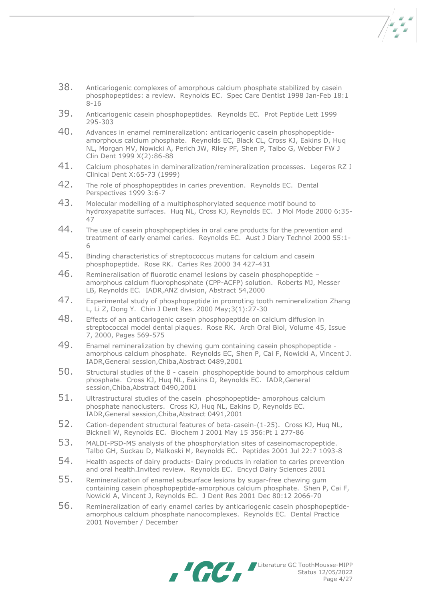- $\frac{1}{2}$
- 38. Anticariogenic complexes of amorphous calcium phosphate stabilized by casein phosphopeptides: a review. [Reynolds EC.](http://research.bmn.com/medline/search/results?keyword_field=fullrec&order=rel&keywords=reynolds_ec:au) Spec Care Dentist 1998 Jan-Feb 18:1 8-16
- 39. Anticariogenic casein phosphopeptides. [Reynolds EC.](http://research.bmn.com/medline/search/results?keyword_field=fullrec&order=rel&keywords=reynolds_ec:au) Prot Peptide Lett 1999 295-303
- 40. Advances in enamel remineralization: anticariogenic casein phosphopeptideamorphous calcium phosphate. [Reynolds EC,](http://research.bmn.com/medline/search/results?keyword_field=fullrec&order=rel&keywords=reynolds_ec:au) Black CL, Cross KJ, Eakins D, Huq NL, Morgan MV, Nowicki A, Perich JW, Riley PF, Shen P, Talbo G, Webber FW J Clin Dent 1999 X(2):86-88
- 41. Calcium phosphates in demineralization/remineralization processes. Legeros RZ J Clinical Dent X:65-73 (1999)
- 42. The role of phosphopeptides in caries prevention. [Reynolds EC.](http://research.bmn.com/medline/search/results?keyword_field=fullrec&order=rel&keywords=reynolds_ec:au) Dental Perspectives 1999 3:6-7
- 43. Molecular modelling of a multiphosphorylated sequence motif bound to hydroxyapatite surfaces. [Huq NL,](http://research.bmn.com/medline/search/results?keyword_field=fullrec&order=rel&keywords=huq_nl:au) [Cross KJ,](http://research.bmn.com/medline/search/results?keyword_field=fullrec&order=rel&keywords=cross_kj:au) [Reynolds EC.](http://research.bmn.com/medline/search/results?keyword_field=fullrec&order=rel&keywords=reynolds_ec:au) J Mol Mode 2000 6:35- 47
- 44. The use of casein phosphopeptides in oral care products for the prevention and treatment of early enamel caries. [Reynolds EC.](http://research.bmn.com/medline/search/results?keyword_field=fullrec&order=rel&keywords=reynolds_ec:au) Aust J Diary Technol 2000 55:1- 6
- 45. Binding characteristics of streptococcus mutans for calcium and casein phosphopeptide. [Rose RK.](http://research.bmn.com/medline/search/results?keyword_field=fullrec&order=rel&keywords=reynolds_ec:au) Caries Res 2000 34 427-431
- 46. Remineralisation of fluorotic enamel lesions by casein phosphopeptide amorphous calcium fluorophosphate (CPP-ACFP) solution. Roberts MJ, Messer LB, [Reynolds EC.](http://research.bmn.com/medline/search/results?keyword_field=fullrec&order=rel&keywords=reynolds_ec:au) IADR,ANZ division, Abstract 54,2000
- 47. Experimental study of phosphopeptide in promoting tooth remineralization Zhang L, Li Z, Dong Y. Chin J Dent Res. 2000 May;3(1):27-30
- 48. Effects of an anticariogenic casein phosphopeptide on calcium diffusion in streptococcal model dental plaques. Rose RK. Arch Oral Biol, Volume 45, Issue 7, 2000, Pages 569-575
- 49. Enamel remineralization by chewing gum containing casein phosphopeptide amorphous calcium phosphate. [Reynolds EC,](http://research.bmn.com/medline/search/results?keyword_field=fullrec&order=rel&keywords=reynolds_ec:au) [Shen P,](http://research.bmn.com/medline/search/results?keyword_field=fullrec&order=rel&keywords=cross_kj:au) [Cai F,](http://research.bmn.com/medline/search/results?keyword_field=fullrec&order=rel&keywords=huq_nl:au) [Nowicki A,](http://research.bmn.com/medline/search/results?keyword_field=fullrec&order=rel&keywords=bicknell_w:au) [Vincent J.](http://research.bmn.com/medline/search/results?keyword_field=fullrec&order=rel&keywords=reynolds_ec:au) IADR,General session,Chiba,Abstract 0489,2001
- 50. Structural studies of the ß casein phosphopeptide bound to amorphous calcium phosphate. [Cross KJ,](http://research.bmn.com/medline/search/results?keyword_field=fullrec&order=rel&keywords=cross_kj:au) [Huq NL,](http://research.bmn.com/medline/search/results?keyword_field=fullrec&order=rel&keywords=huq_nl:au) [Eakins D,](http://research.bmn.com/medline/search/results?keyword_field=fullrec&order=rel&keywords=bicknell_w:au) [Reynolds EC.](http://research.bmn.com/medline/search/results?keyword_field=fullrec&order=rel&keywords=reynolds_ec:au) IADR,General session,Chiba,Abstract 0490,2001
- 51. Ultrastructural studies of the casein phosphopeptide- amorphous calcium phosphate nanoclusters. [Cross KJ,](http://research.bmn.com/medline/search/results?keyword_field=fullrec&order=rel&keywords=cross_kj:au) [Huq NL,](http://research.bmn.com/medline/search/results?keyword_field=fullrec&order=rel&keywords=huq_nl:au) [Eakins D,](http://research.bmn.com/medline/search/results?keyword_field=fullrec&order=rel&keywords=bicknell_w:au) [Reynolds EC.](http://research.bmn.com/medline/search/results?keyword_field=fullrec&order=rel&keywords=reynolds_ec:au) IADR,General session,Chiba,Abstract 0491,2001
- 52. Cation-dependent structural features of beta-casein-(1-25). [Cross KJ,](http://research.bmn.com/medline/search/results?keyword_field=fullrec&order=rel&keywords=cross_kj:au) [Huq NL,](http://research.bmn.com/medline/search/results?keyword_field=fullrec&order=rel&keywords=huq_nl:au) [Bicknell W,](http://research.bmn.com/medline/search/results?keyword_field=fullrec&order=rel&keywords=bicknell_w:au) [Reynolds EC.](http://research.bmn.com/medline/search/results?keyword_field=fullrec&order=rel&keywords=reynolds_ec:au) Biochem J 2001 May 15 356:Pt 1 277-86
- 53. MALDI-PSD-MS analysis of the phosphorylation sites of caseinomacropeptide. [Talbo GH,](http://research.bmn.com/medline/search/results?keyword_field=fullrec&order=rel&keywords=talbo_gh:au) [Suckau D,](http://research.bmn.com/medline/search/results?keyword_field=fullrec&order=rel&keywords=suckau_d:au) [Malkoski M,](http://research.bmn.com/medline/search/results?keyword_field=fullrec&order=rel&keywords=malkoski_m:au) [Reynolds EC.](http://research.bmn.com/medline/search/results?keyword_field=fullrec&order=rel&keywords=reynolds_ec:au) Peptides 2001 Jul 22:7 1093-8
- 54. Health aspects of dairy products- Dairy products in relation to caries prevention and oral health.Invited review. [Reynolds EC.](http://research.bmn.com/medline/search/results?keyword_field=fullrec&order=rel&keywords=reynolds_ec:au) Encycl Dairy Sciences 2001
- 55. Remineralization of enamel subsurface lesions by sugar-free chewing gum containing casein phosphopeptide-amorphous calcium phosphate. [Shen P,](http://research.bmn.com/medline/search/results?keyword_field=fullrec&order=rel&keywords=shen_p:au) [Cai F,](http://research.bmn.com/medline/search/results?keyword_field=fullrec&order=rel&keywords=cai_f:au) [Nowicki A,](http://research.bmn.com/medline/search/results?keyword_field=fullrec&order=rel&keywords=nowicki_a:au) [Vincent J,](http://research.bmn.com/medline/search/results?keyword_field=fullrec&order=rel&keywords=vincent_j:au) [Reynolds EC.](http://research.bmn.com/medline/search/results?keyword_field=fullrec&order=rel&keywords=reynolds_ec:au) J Dent Res 2001 Dec 80:12 2066-70
- 56. Remineralization of early enamel caries by anticariogenic casein phosphopeptideamorphous calcium phosphate nanocomplexes. [Reynolds EC.](http://research.bmn.com/medline/search/results?keyword_field=fullrec&order=rel&keywords=reynolds_ec:au) Dental Practice 2001 November / December



Literature GC ToothMousse-MIPP Status 12/05/2022 Page 4/27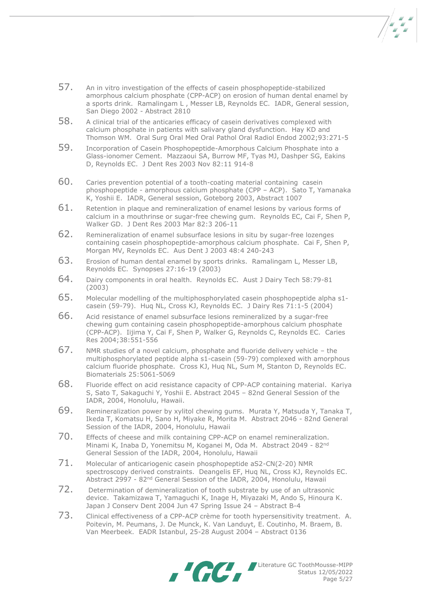57. An in vitro investigation of the effects of casein phosphopeptide-stabilized amorphous calcium phosphate (CPP-ACP) on erosion of human dental enamel by a sports drink. Ramalingam L , Messer LB, [Reynolds EC.](http://research.bmn.com/medline/search/results?keyword_field=fullrec&order=rel&keywords=reynolds_ec:au) IADR, General session, San Diego 2002 - Abstract 2810

- 58. A clinical trial of the anticaries efficacy of casein derivatives complexed with calcium phosphate in patients with salivary gland dysfunction. Hay KD and Thomson WM. Oral Surg Oral Med Oral Pathol Oral Radiol Endod 2002;93:271-5
- 59. Incorporation of Casein Phosphopeptide-Amorphous Calcium Phosphate into a Glass-ionomer Cement. Mazzaoui SA, [Burrow MF,](http://research.bmn.com/medline/search/results?keyword_field=fullrec&order=rel&keywords=burrow_mf:au) [Tyas MJ,](http://research.bmn.com/medline/search/results?keyword_field=fullrec&order=rel&keywords=tyas_mj:au) [Dashper SG,](http://research.bmn.com/medline/search/results?keyword_field=fullrec&order=rel&keywords=dashper_sg:au) [Eakins](http://research.bmn.com/medline/search/results?keyword_field=fullrec&order=rel&keywords=eakins_d:au)  [D,](http://research.bmn.com/medline/search/results?keyword_field=fullrec&order=rel&keywords=eakins_d:au) [Reynolds EC.](http://research.bmn.com/medline/search/results?keyword_field=fullrec&order=rel&keywords=reynolds_ec:au) J Dent Res 2003 Nov 82:11 914-8
- 60. Caries prevention potential of a tooth-coating material containing casein phosphopeptide - amorphous calcium phosphate (CPP – ACP). [Sato T,](http://research.bmn.com/medline/search/results?keyword_field=fullrec&order=rel&keywords=cross_kj:au) [Yamanaka](http://research.bmn.com/medline/search/results?keyword_field=fullrec&order=rel&keywords=huq_nl:au)  [K,](http://research.bmn.com/medline/search/results?keyword_field=fullrec&order=rel&keywords=huq_nl:au) [Yoshii E.](http://research.bmn.com/medline/search/results?keyword_field=fullrec&order=rel&keywords=bicknell_w:au) IADR, General session, Goteborg 2003, Abstract 1007
- 61. Retention in plaque and remineralization of enamel lesions by various forms of calcium in a mouthrinse or sugar-free chewing gum. [Reynolds EC,](http://research.bmn.com/medline/search/results?keyword_field=fullrec&order=rel&keywords=reynolds_ec:au) [Cai F,](http://research.bmn.com/medline/search/results?keyword_field=fullrec&order=rel&keywords=cai_f:au) [Shen P,](http://research.bmn.com/medline/search/results?keyword_field=fullrec&order=rel&keywords=shen_p:au) [Walker GD.](http://research.bmn.com/medline/search/results?keyword_field=fullrec&order=rel&keywords=walker_gd:au) J Dent Res 2003 Mar 82:3 206-11
- 62. Remineralization of enamel subsurface lesions in situ by sugar-free lozenges containing casein phosphopeptide-amorphous calcium phosphate. [Cai F,](http://research.bmn.com/medline/search/results?keyword_field=fullrec&order=rel&keywords=cai_f:au) [Shen P,](http://research.bmn.com/medline/search/results?keyword_field=fullrec&order=rel&keywords=shen_p:au) [Morgan MV,](http://research.bmn.com/medline/search/results?keyword_field=fullrec&order=rel&keywords=nowicki_a:au) [Reynolds EC.](http://research.bmn.com/medline/search/results?keyword_field=fullrec&order=rel&keywords=reynolds_ec:au) Aus Dent J 2003 48:4 240-243
- 63. Erosion of human dental enamel by sports drinks. Ramalingam L, Messer LB, Reynolds EC. Synopses 27:16-19 (2003)
- 64. Dairy components in oral health. Reynolds EC. Aust J Dairy Tech 58:79-81 (2003)
- 65. Molecular modelling of the multiphosphorylated casein phosphopeptide alpha s1 casein (59-79). Huq NL, Cross KJ, Reynolds EC. J Dairy Res 71:1-5 (2004)
- 66. Acid resistance of enamel subsurface lesions remineralized by a sugar-free chewing gum containing casein phosphopeptide-amorphous calcium phosphate (CPP-ACP). Iijima Y, Cai F, Shen P, Walker G, Reynolds C, Reynolds EC. Caries Res 2004;38:551-556
- 67. NMR studies of a novel calcium, phosphate and fluoride delivery vehicle the multiphosphorylated peptide alpha s1-casein (59-79) complexed with amorphous calcium fluoride phosphate. Cross KJ, Huq NL, Sum M, Stanton D, Reynolds EC. Biomaterials 25:5061-5069
- 68. Fluoride effect on acid resistance capacity of CPP-ACP containing material. Kariya S, Sato T, Sakaguchi Y, Yoshii E. Abstract 2045 – 82nd General Session of the IADR, 2004, Honolulu, Hawaii.
- 69. Remineralization power by xylitol chewing gums. Murata Y, Matsuda Y, Tanaka T, Ikeda T, Komatsu H, Sano H, Miyake R, Morita M. Abstract 2046 - 82nd General Session of the IADR, 2004, Honolulu, Hawaii
- 70. Effects of cheese and milk containing CPP-ACP on enamel remineralization. Minami K, Inaba D, Yonemitsu M, Koganei M, Oda M. Abstract 2049 - 82nd General Session of the IADR, 2004, Honolulu, Hawaii
- 71. Molecular of anticariogenic casein phosphopeptide aS2-CN(2-20) NMR spectroscopy derived constraints. Deangelis EF, Huq NL, Cross KJ, Reynolds EC. Abstract 2997 - 82nd General Session of the IADR, 2004, Honolulu, Hawaii
- 72. Determination of demineralization of tooth substrate by use of an ultrasonic device. Takamizawa T, Yamaguchi K, Inage H, Miyazaki M, Ando S, Hinoura K. Japan J Conserv Dent 2004 Jun 47 Spring Issue 24 – Abstract B-4
- 73. Clinical effectiveness of a CPP-ACP crème for tooth hypersensitivity treatment. A. Poitevin, M. Peumans, J. De Munck, K. Van Landuyt, E. Coutinho, M. Braem, B. Van Meerbeek. EADR Istanbul, 25-28 August 2004 – Abstract 0136

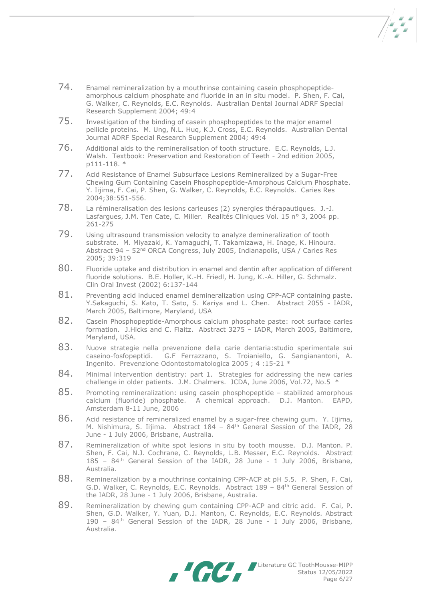- 74. Enamel remineralization by a mouthrinse containing casein phosphopeptideamorphous calcium phosphate and fluoride in an in situ model. P. Shen, F. Cai, G. Walker, C. Reynolds, E.C. Reynolds. Australian Dental Journal ADRF Special Research Supplement 2004; 49:4
- 75. Investigation of the binding of casein phosphopeptides to the major enamel pellicle proteins. M. Ung, N.L. Huq, K.J. Cross, E.C. Reynolds. Australian Dental Journal ADRF Special Research Supplement 2004; 49:4
- 76. Additional aids to the remineralisation of tooth structure. E.C. Reynolds, L.J. Walsh. Textbook: Preservation and Restoration of Teeth - 2nd edition 2005, p111-118. \*
- 77. Acid Resistance of Enamel Subsurface Lesions Remineralized by a Sugar-Free Chewing Gum Containing Casein Phosphopeptide-Amorphous Calcium Phosphate. Y. Iijima, F. Cai, P. Shen, G. Walker, C. Reynolds, E.C. Reynolds. Caries Res 2004;38:551-556.
- 78. La rémineralisation des lesions carieuses (2) synergies thérapautiques. J.-J. Lasfargues, J.M. Ten Cate, C. Miller. Realités Cliniques Vol. 15 n° 3, 2004 pp. 261-275
- 79. Using ultrasound transmission velocity to analyze demineralization of tooth substrate. M. Miyazaki, K. Yamaguchi, T. Takamizawa, H. Inage, K. Hinoura. Abstract 94 – 52nd ORCA Congress, July 2005, Indianapolis, USA / Caries Res 2005; 39:319
- 80. Fluoride uptake and distribution in enamel and dentin after application of different fluoride solutions. B.E. Holler, K.-H. Friedl, H. Jung, K.-A. Hiller, G. Schmalz. Clin Oral Invest (2002) 6:137-144
- 81. Preventing acid induced enamel demineralization using CPP-ACP containing paste. Y.Sakaguchi, S. Kato, T. Sato, S. Kariya and L. Chen. Abstract 2055 - IADR, March 2005, Baltimore, Maryland, USA
- 82. Casein Phosphopeptide-Amorphous calcium phosphate paste: root surface caries formation. J.Hicks and C. Flaitz. Abstract 3275 – IADR, March 2005, Baltimore, Maryland, USA.
- 83. Nuove strategie nella prevenzione della carie dentaria: studio sperimentale sui caseino-fosfopeptidi. G.F Ferrazzano, S. Troianiello, G. Sangianantoni, A. Ingenito. Prevenzione Odontostomatologica 2005 ; 4 :15-21 \*
- 84. Minimal intervention dentistry: part 1. Strategies for addressing the new caries challenge in older patients. J.M. Chalmers. JCDA, June 2006, Vol.72, No.5 \*
- 85. Promoting remineralization: using casein phosphopeptide stabilized amorphous calcium (fluoride) phosphate. A chemical approach. D.J. Manton. EAPD, Amsterdam 8-11 June, 2006
- 86. Acid resistance of remineralized enamel by a sugar-free chewing gum. Y. Iijima, M. Nishimura, S. Iijima. Abstract  $184 - 84$ <sup>th</sup> General Session of the IADR, 28 June - 1 July 2006, Brisbane, Australia.
- 87. Remineralization of white spot lesions in situ by tooth mousse. D.J. Manton. P. Shen, F. Cai, N.J. Cochrane, C. Reynolds, L.B. Messer, E.C. Reynolds. Abstract 185 – 84th General Session of the IADR, 28 June - 1 July 2006, Brisbane, Australia.
- 88. Remineralization by a mouthrinse containing CPP-ACP at pH 5.5. P. Shen, F. Cai, G.D. Walker, C. Reynolds, E.C. Reynolds. Abstract 189 - 84<sup>th</sup> General Session of the IADR, 28 June - 1 July 2006, Brisbane, Australia.
- 89. Remineralization by chewing gum containing CPP-ACP and citric acid. F. Cai, P. Shen, G.D. Walker, Y. Yuan, D.J. Manton, C. Reynolds, E.C. Reynolds. Abstract 190 – 84th General Session of the IADR, 28 June - 1 July 2006, Brisbane, Australia.



Literature GC ToothMousse-MIPP Status 12/05/2022 Page 6/27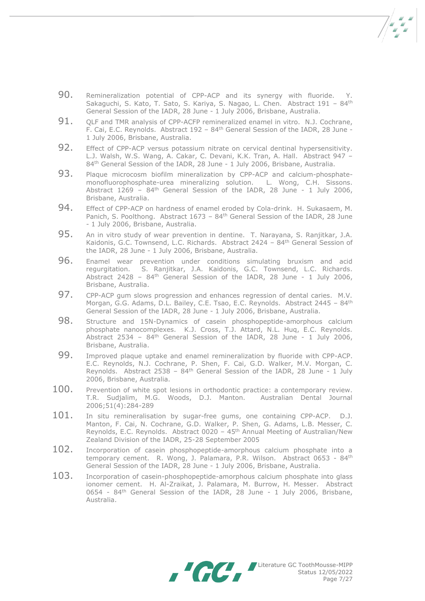- 90. Remineralization potential of CPP-ACP and its synergy with fluoride. Y. Sakaguchi, S. Kato, T. Sato, S. Kariya, S. Nagao, L. Chen. Abstract 191 – 84th General Session of the IADR, 28 June - 1 July 2006, Brisbane, Australia.
- 91. OLF and TMR analysis of CPP-ACFP remineralized enamel in vitro. N.J. Cochrane, F. Cai, E.C. Reynolds. Abstract 192 – 84th General Session of the IADR, 28 June - 1 July 2006, Brisbane, Australia.
- 92. Effect of CPP-ACP versus potassium nitrate on cervical dentinal hypersensitivity. L.J. Walsh, W.S. Wang, A. Cakar, C. Devani, K.K. Tran, A. Hall. Abstract 947 – 84<sup>th</sup> General Session of the IADR, 28 June - 1 July 2006, Brisbane, Australia.
- 93. Plaque microcosm biofilm mineralization by CPP-ACP and calcium-phosphatemonofluorophosphate-urea mineralizing solution. L. Wong, C.H. Sissons. Abstract  $1269 - 84$ <sup>th</sup> General Session of the IADR, 28 June - 1 July 2006, Brisbane, Australia.
- 94. Effect of CPP-ACP on hardness of enamel eroded by Cola-drink. H. Sukasaem, M. Panich, S. Poolthong. Abstract 1673 – 84th General Session of the IADR, 28 June - 1 July 2006, Brisbane, Australia.
- 95. An in vitro study of wear prevention in dentine. T. Narayana, S. Ranjitkar, J.A. Kaidonis, G.C. Townsend, L.C. Richards. Abstract 2424 – 84th General Session of the IADR, 28 June - 1 July 2006, Brisbane, Australia.
- 96. Enamel wear prevention under conditions simulating bruxism and acid regurgitation. S. Ranjitkar, J.A. Kaidonis, G.C. Townsend, L.C. Richards. Abstract 2428 –  $84<sup>th</sup>$  General Session of the IADR, 28 June - 1 July 2006, Brisbane, Australia.
- 97. CPP-ACP gum slows progression and enhances regression of dental caries. M.V. Morgan, G.G. Adams, D.L. Bailey, C.E. Tsao, E.C. Reynolds. Abstract 2445 - 84<sup>th</sup> General Session of the IADR, 28 June - 1 July 2006, Brisbane, Australia.
- 98. Structure and 15N-Dynamics of casein phosphopeptide-amorphous calcium phosphate nanocomplexes. K.J. Cross, T.J. Attard, N.L. Huq, E.C. Reynolds. Abstract 2534 -  $84<sup>th</sup>$  General Session of the IADR, 28 June - 1 July 2006, Brisbane, Australia.
- 99. Improved plaque uptake and enamel remineralization by fluoride with CPP-ACP. E.C. Reynolds, N.J. Cochrane, P. Shen, F. Cai, G.D. Walker, M.V. Morgan, C. Reynolds. Abstract 2538 – 84th General Session of the IADR, 28 June - 1 July 2006, Brisbane, Australia.
- 100. Prevention of white spot lesions in orthodontic practice: a contemporary review. T.R. Sudjalim, M.G. Woods, D.J. Manton. Australian Dental Journal 2006;51(4):284-289
- 101. In situ remineralisation by sugar-free gums, one containing CPP-ACP. D.J. Manton, F. Cai, N. Cochrane, G.D. Walker, P. Shen, G. Adams, L.B. Messer, C. Reynolds, E.C. Reynolds. Abstract 0020 – 45th Annual Meeting of Australian/New Zealand Division of the IADR, 25-28 September 2005
- 102. Incorporation of casein phosphopeptide-amorphous calcium phosphate into a temporary cement. R. Wong, J. Palamara, P.R. Wilson. Abstract 0653 - 84th General Session of the IADR, 28 June - 1 July 2006, Brisbane, Australia.
- 103. Incorporation of casein-phosphopeptide-amorphous calcium phosphate into glass ionomer cement. H. Al-Zraikat, J. Palamara, M. Burrow, H. Messer. Abstract 0654 - 84<sup>th</sup> General Session of the IADR, 28 June - 1 July 2006, Brisbane, Australia.



Literature GC ToothMousse-MIPP Status 12/05/2022 Page 7/27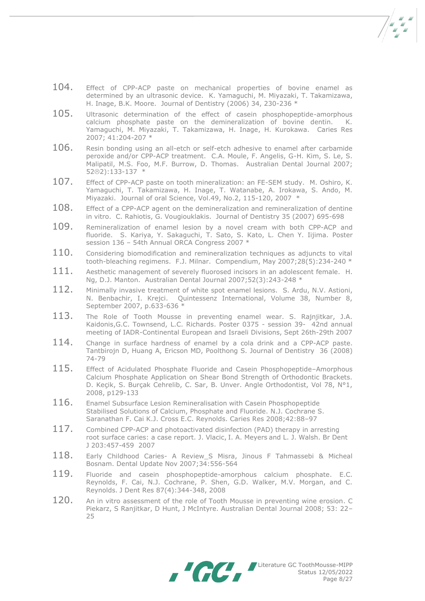- 104. Effect of CPP-ACP paste on mechanical properties of bovine enamel as determined by an ultrasonic device. K. Yamaguchi, M. Miyazaki, T. Takamizawa, H. Inage, B.K. Moore. Journal of Dentistry (2006) 34, 230-236 \*
- 105. Ultrasonic determination of the effect of casein phosphopeptide-amorphous calcium phosphate paste on the demineralization of bovine dentin. K. Yamaguchi, M. Miyazaki, T. Takamizawa, H. Inage, H. Kurokawa. Caries Res 2007; 41:204-207 \*
- 106. Resin bonding using an all-etch or self-etch adhesive to enamel after carbamide peroxide and/or CPP-ACP treatment. C.A. Moule, F. Angelis, G-H. Kim, S. Le, S. Malipatil, M.S. Foo, M.F. Burrow, D. Thomas. Australian Dental Journal 2007; 522):133-137 \*
- 107. Effect of CPP-ACP paste on tooth mineralization: an FE-SEM study. M. Oshiro, K. Yamaguchi, T. Takamizawa, H. Inage, T. Watanabe, A. Irokawa, S. Ando, M. Miyazaki. Journal of oral Science, Vol.49, No.2, 115-120, 2007 \*
- 108. Effect of a CPP-ACP agent on the demineralization and remineralization of dentine in vitro. C. Rahiotis, G. Vougiouklakis. Journal of Dentistry 35 (2007) 695-698
- 109. Remineralization of enamel lesion by a novel cream with both CPP-ACP and fluoride. S. Kariya, Y. Sakaguchi, T. Sato, S. Kato, L. Chen Y. Iijima. Poster session 136 – 54th Annual ORCA Congress 2007 \*
- $110.$  Considering biomodification and remineralization techniques as adjuncts to vital tooth-bleaching regimens. F.J. Milnar. Compendium, May 2007;28(5):234-240 \*
- $111.$  Aesthetic management of severely fluorosed incisors in an adolescent female. H. Ng, D.J. Manton. Australian Dental Journal 2007;52(3):243-248 \*
- 112. Minimally invasive treatment of white spot enamel lesions. S. Ardu, N.V. Astioni, N. Benbachir, I. Krejci. Quintessenz International, Volume 38, Number 8, September 2007, p.633-636 \*
- 113. The Role of Tooth Mousse in preventing enamel wear. S. Rajnjitkar, J.A. Kaidonis,G.C. Townsend, L.C. Richards. Poster 0375 - session 39- 42nd annual meeting of IADR-Continental European and Israeli Divisions, Sept 26th-29th 2007
- 114. Change in surface hardness of enamel by a cola drink and a CPP-ACP paste. Tantbirojn D, Huang A, Ericson MD, Poolthong S. Journal of Dentistry 36 (2008) 74-79
- 115. Effect of Acidulated Phosphate Fluoride and Casein Phosphopeptide-Amorphous Calcium Phosphate Application on Shear Bond Strength of Orthodontic Brackets. D. Keçik, S. Burçak Cehrelib, C. Sar, B. Unver. Angle Orthodontist, Vol 78, N°1, 2008, p129-133
- 116. Enamel Subsurface Lesion Remineralisation with Casein Phosphopeptide Stabilised Solutions of Calcium, Phosphate and Fluoride. N.J. Cochrane S. Saranathan F. Cai K.J. Cross E.C. Reynolds. Caries Res 2008;42:88–97
- 117. Combined CPP-ACP and photoactivated disinfection (PAD) therapy in arresting root surface caries: a case report. J. Vlacic, I. A. Meyers and L. J. Walsh. Br Dent J 203:457-459 2007
- 118. Early Childhood Caries- A Review S Misra, Jinous F Tahmassebi & Micheal Bosnam. Dental Update Nov 2007;34:556-564
- 119. Fluoride and casein phosphopeptide-amorphous calcium phosphate. E.C. Reynolds, F. Cai, N.J. Cochrane, P. Shen, G.D. Walker, M.V. Morgan, and C. Reynolds. J Dent Res 87(4):344-348, 2008
- 120. An in vitro assessment of the role of Tooth Mousse in preventing wine erosion. C Piekarz, S Ranjitkar, D Hunt, J McIntyre. Australian Dental Journal 2008; 53: 22– 25

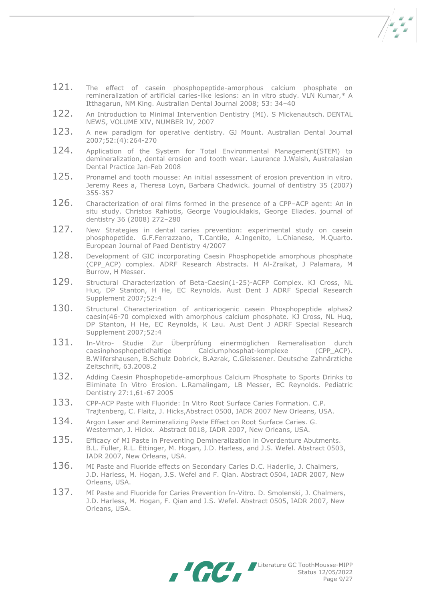- 121. The effect of casein phosphopeptide-amorphous calcium phosphate on remineralization of artificial caries-like lesions: an in vitro study. VLN Kumar,\* A Itthagarun, NM King. Australian Dental Journal 2008; 53: 34–40
- 122. An Introduction to Minimal Intervention Dentistry (MI). S Mickenautsch. DENTAL NEWS, VOLUME XIV, NUMBER IV, 2007
- 123. A new paradigm for operative dentistry. GJ Mount. Australian Dental Journal 2007;52:(4):264-270
- 124. Application of the System for Total Environmental Management(STEM) to demineralization, dental erosion and tooth wear. Laurence J.Walsh, Australasian Dental Practice Jan-Feb 2008
- 125. Pronamel and tooth mousse: An initial assessment of erosion prevention in vitro. Jeremy Rees a, Theresa Loyn, Barbara Chadwick. journal of dentistry 35 (2007) 355-357
- 126. Characterization of oral films formed in the presence of a CPP–ACP agent: An in situ study. Christos Rahiotis, George Vougiouklakis, George Eliades. journal of dentistry 36 (2008) 272–280
- 127. New Strategies in dental caries prevention: experimental study on casein phosphopetide. G.F.Ferrazzano, T.Cantile, A.Ingenito, L.Chianese, M.Quarto. European Journal of Paed Dentistry 4/2007
- 128. Development of GIC incorporating Caesin Phosphopetide amorphous phosphate (CPP\_ACP) complex. ADRF Research Abstracts. H Al-Zraikat, J Palamara, M Burrow, H Messer.
- 129. Structural Characterization of Beta-Caesin(1-25)-ACFP Complex. KJ Cross, NL Huq, DP Stanton, H He, EC Reynolds. Aust Dent J ADRF Special Research Supplement 2007;52:4
- 130. Structural Characterization of anticariogenic casein Phosphopeptide alphas2 caesin(46-70 complexed with amorphous calcium phosphate. KJ Cross, NL Huq, DP Stanton, H He, EC Reynolds, K Lau. Aust Dent J ADRF Special Research Supplement 2007;52:4
- 131. In-Vitro- Studie Zur Überprûfung einermöglichen Remeralisation durch<br>caesinphosphopetidhaltige Calciumphosphat-komplexe (CPP ACP). Calciumphosphat-komplexe B.Wilfershausen, B.Schulz Dobrick, B.Azrak, C.Gleissener. Deutsche Zahnärztiche Zeitschrift, 63.2008.2
- 132. Adding Caesin Phosphopetide-amorphous Calcium Phosphate to Sports Drinks to Eliminate In Vitro Erosion. L.Ramalingam, LB Messer, EC Reynolds. Pediatric Dentistry 27:1,61-67 2005
- 133. CPP-ACP Paste with Fluoride: In Vitro Root Surface Caries Formation. C.P. Trajtenberg, C. Flaitz, J. Hicks,Abstract 0500, IADR 2007 New Orleans, USA.
- 134. Argon Laser and Remineralizing Paste Effect on Root Surface Caries. G. Westerman, J. Hickx. Abstract 0018, IADR 2007, New Orleans, USA.
- 135. Efficacy of MI Paste in Preventing Demineralization in Overdenture Abutments. B.L. Fuller, R.L. Ettinger, M. Hogan, J.D. Harless, and J.S. Wefel. Abstract 0503, IADR 2007, New Orleans, USA.
- 136. MI Paste and Fluoride effects on Secondary Caries D.C. Haderlie, J. Chalmers, J.D. Harless, M. Hogan, J.S. Wefel and F. Qian. Abstract 0504, IADR 2007, New Orleans, USA.
- 137. MI Paste and Fluoride for Caries Prevention In-Vitro. D. Smolenski, J. Chalmers, J.D. Harless, M. Hogan, F. Qian and J.S. Wefel. Abstract 0505, IADR 2007, New Orleans, USA.



Literature GC ToothMousse-MIPP Status 12/05/2022 Page 9/27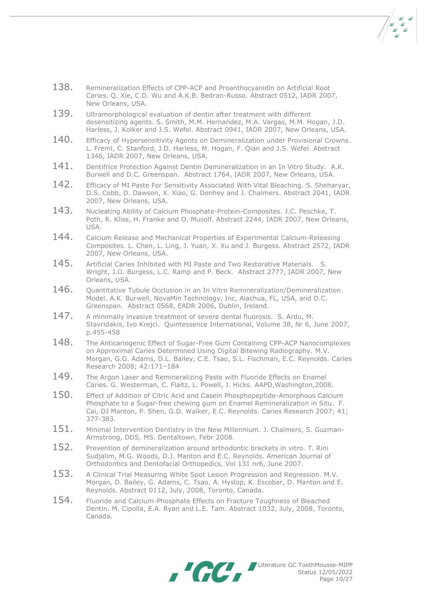- 138. Remineralization Effects of CPP-ACP and Proanthocyanidin on Artificial Root Caries. Q. Xie, C.D. Wu and A.K.B. Bedran-Russo. Abstract 0512, IADR 2007, New Orleans, USA.
- 139. Ultramorphological evaluation of dentin after treatment with different desensitizing agents. S. Smith, M.M. Hernandez, M.A. Vargas, M.M. Hogan, J.D. Harless, J. Kolker and J.S. Wefel. Abstract 0941, IADR 2007, New Orleans, USA.
- 140. Efficacy of Hypersensitivity Agents on Demineralization under Provisional Crowns. L. Freml, C. Stanford, J.D. Harless, M. Hogan, F. Qian and J.S. Wefel. Abstract 1346, IADR 2007, New Orleans, USA.
- 141. Dentifrice Protection Against Dentin Demineralization in an In Vitro Study. A.K. Burwell and D.C. Greenspan. Abstract 1764, IADR 2007, New Orleans, USA.
- 142. Efficacy of MI Paste For Sensitivity Associated With Vital Bleaching. S. Sheharyar, D.S. Cobb, D. Dawson, X. Xiao, G. Denhey and J. Chalmers. Abstract 2041, IADR 2007, New Orleans, USA.
- 143. Nucleating Ability of Calcium Phosphate-Protein-Composites. J.C. Peschke, T. Poth, R. Kliss, H. Franke and O. Musolf. Abstract 2244, IADR 2007, New Orleans, USA.
- 144. Calcium Release and Mechanical Properties of Experimental Calcium-Releasing Composites. L. Chen, L. Ling, J. Yuan, X. Xu and J. Burgess. Abstract 2572, IADR 2007, New Orleans, USA.
- 145. Artificial Caries Inhibited with MI Paste and Two Restorative Materials. S. Wright, J.O. Burgess, L.C. Ramp and P. Beck. Abstract 2777, IADR 2007, New Orleans, USA.
- 146. Ouantitative Tubule Occlusion in an In Vitro Remineralization/Demineralization Model. A.K. Burwell, NovaMin Technology, Inc, Alachua, FL, USA, and D.C. Greenspan. Abstract 0568, EADR 2006, Dublin, Ireland.
- 147. A minimally invasive treatment of severe dental fluorosis. S. Ardu, M. Stavridakis, Ivo Krejci. Quintessence International, Volume 38, Nr 6, June 2007, p.455-458
- 148. The Anticariogenic Effect of Sugar-Free Gum Containing CPP-ACP Nanocomplexes on Approximal Caries Determined Using Digital Bitewing Radiography. M.V. Morgan, G.G. Adams, D.L. Bailey, C.E. Tsao, S.L. Fischman, E.C. Reynolds. Caries Research 2008; 42:171–184
- 149. The Argon Laser and Remineralizing Paste with Fluoride Effects on Enamel Caries. G. Westerman, C. Flaitz, L. Powell, J. Hicks. AAPD,Washington,2008.
- 150. Effect of Addition of Citric Acid and Casein Phosphopeptide-Amorphous Calcium Phosphate to a Sugar-free chewing gum on Enamel Remineralization in Situ. F. Cai, DJ Manton, P. Shen, G.D. Walker, E.C. Reynolds. Caries Research 2007; 41; 377-383.
- 151. Minimal Intervention Dentistry in the New Millennium. J. Chalmers, S. Guzman-Armstrong, DDS, MS. Dentaltown, Febr 2008.
- 152. Prevention of demineralization around orthodontic brackets in vitro. T. Rini Sudjalim, M.G. Woods, D.J. Manton and E.C. Reynolds. American Journal of Orthodontics and Dentofacial Orthopedics, Vol 131 nr6, June 2007.
- 153. A Clinical Trial Measuring White Spot Lesion Progression and Regression. M.V. Morgan, D. Bailey, G. Adams, C. Tsao, A. Hyslop, K. Escobar, D. Manton and E. Reynolds. Abstract 0112, July, 2008, Toronto, Canada.
- 154. Fluoride and Calcium-Phosphate Effects on Fracture Toughness of Bleached Dentin. M. Cipolla, E.A. Ryan and L.E. Tam. Abstract 1032, July, 2008, Toronto, Canada.



Literature GC ToothMousse-MIPP Status 12/05/2022 Page 10/27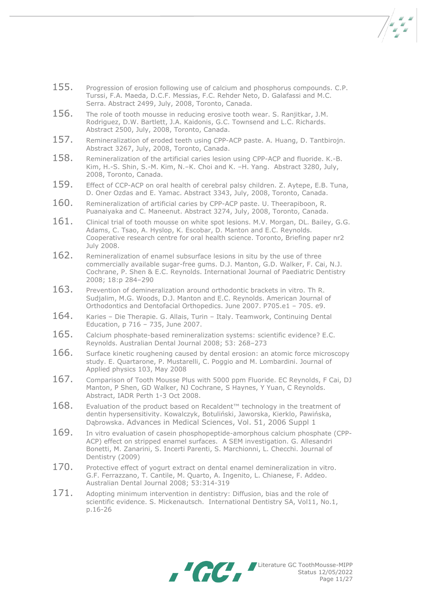- 155. Progression of erosion following use of calcium and phosphorus compounds. C.P. Turssi, F.A. Maeda, D.C.F. Messias, F.C. Rehder Neto, D. Galafassi and M.C. Serra. Abstract 2499, July, 2008, Toronto, Canada.
- 156. The role of tooth mousse in reducing erosive tooth wear. S. Ranjitkar, J.M. Rodriguez, D.W. Bartlett, J.A. Kaidonis, G.C. Townsend and L.C. Richards. Abstract 2500, July, 2008, Toronto, Canada.
- 157. Remineralization of eroded teeth using CPP-ACP paste. A. Huang, D. Tantbirojn. Abstract 3267, July, 2008, Toronto, Canada.
- 158. Remineralization of the artificial caries lesion using CPP-ACP and fluoride. K.-B. Kim, H.-S. Shin, S.-M. Kim, N.–K. Choi and K. –H. Yang. Abstract 3280, July, 2008, Toronto, Canada.
- 159. Effect of CCP-ACP on oral health of cerebral palsy children. Z. Aytepe, E.B. Tuna, D. Oner Ozdas and E. Yamac. Abstract 3343, July, 2008, Toronto, Canada.
- 160. Remineralization of artificial caries by CPP-ACP paste. U. Theerapiboon, R. Puanaiyaka and C. Maneenut. Abstract 3274, July, 2008, Toronto, Canada.
- $161.$  Clinical trial of tooth mousse on white spot lesions. M.V. Morgan, DL. Bailey, G.G. Adams, C. Tsao, A. Hyslop, K. Escobar, D. Manton and E.C. Reynolds. Cooperative research centre for oral health science. Toronto, Briefing paper nr2 July 2008.
- 162. Remineralization of enamel subsurface lesions in situ by the use of three commercially available sugar-free gums. D.J. Manton, G.D. Walker, F. Cai, N.J. Cochrane, P. Shen & E.C. Reynolds. International Journal of Paediatric Dentistry 2008; 18:p 284–290
- 163. Prevention of demineralization around orthodontic brackets in vitro. Th R. Sudjalim, M.G. Woods, D.J. Manton and E.C. Reynolds. American Journal of Orthodontics and Dentofacial Orthopedics. June 2007. P705.e1 – 705. e9.
- 164. Karies Die Therapie. G. Allais, Turin Italy. Teamwork, Continuing Dental Education, p 716 – 735, June 2007.
- 165. Calcium phosphate-based remineralization systems: scientific evidence? E.C. Reynolds. Australian Dental Journal 2008; 53: 268–273
- 166. Surface kinetic roughening caused by dental erosion: an atomic force microscopy study. E. Quartarone, P. Mustarelli, C. Poggio and M. Lombardini. Journal of Applied physics 103, May 2008
- 167. Comparison of Tooth Mousse Plus with 5000 ppm Fluoride. EC Reynolds, F Cai, DJ Manton, P Shen, GD Walker, NJ Cochrane, S Haynes, Y Yuan, C Reynolds. Abstract, IADR Perth 1-3 Oct 2008.
- $168.$  Evaluation of the product based on Recaldent™ technology in the treatment of dentin hypersensitivity. Kowalczyk, Botuliński, Jaworska, Kierklo, Pawińska, Dąbrowska. Advances in Medical Sciences, Vol. 51, 2006 Suppl 1
- 169. In vitro evaluation of casein phosphopeptide-amorphous calcium phosphate (CPP-ACP) effect on stripped enamel surfaces. A SEM investigation. G. Allesandri Bonetti, M. Zanarini, S. Incerti Parenti, S. Marchionni, L. Checchi. Journal of Dentistry (2009)
- 170. Protective effect of yogurt extract on dental enamel demineralization in vitro. G.F. Ferrazzano, T. Cantile, M. Quarto, A. Ingenito, L. Chianese, F. Addeo. Australian Dental Journal 2008; 53:314-319
- 171. Adopting minimum intervention in dentistry: Diffusion, bias and the role of scientific evidence. S. Mickenautsch. International Dentistry SA, Vol11, No.1, p.16-26



Literature GC ToothMousse-MIPP Status 12/05/2022 Page 11/27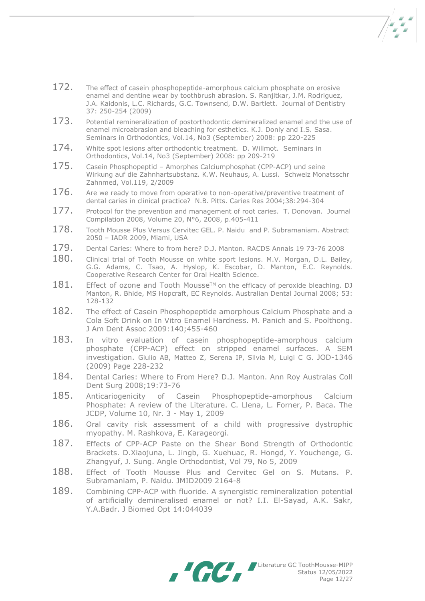- 172. The effect of casein phosphopeptide-amorphous calcium phosphate on erosive enamel and dentine wear by toothbrush abrasion. S. Ranjitkar, J.M. Rodriguez, J.A. Kaidonis, L.C. Richards, G.C. Townsend, D.W. Bartlett. Journal of Dentistry 37: 250-254 (2009)
- 173. Potential remineralization of postorthodontic demineralized enamel and the use of enamel microabrasion and bleaching for esthetics. K.J. Donly and I.S. Sasa. Seminars in Orthodontics, Vol.14, No3 (September) 2008: pp 220-225
- 174. White spot lesions after orthodontic treatment. D. Willmot. Seminars in Orthodontics, Vol.14, No3 (September) 2008: pp 209-219
- 175. Casein Phosphopeptid Amorphes Calciumphosphat (CPP-ACP) und seine Wirkung auf die Zahnhartsubstanz. K.W. Neuhaus, A. Lussi. Schweiz Monatsschr Zahnmed, Vol.119, 2/2009
- 176. Are we ready to move from operative to non-operative/preventive treatment of dental caries in clinical practice? N.B. Pitts. Caries Res 2004;38:294-304
- 177. Protocol for the prevention and management of root caries. T. Donovan. Journal Compilation 2008, Volume 20, N°6, 2008, p.405-411
- 178. Tooth Mousse Plus Versus Cervitec GEL. P. Naidu and P. Subramaniam. Abstract 2050 – IADR 2009, Miami, USA
- 179. Dental Caries: Where to from here? D.J. Manton. RACDS Annals 19 73-76 2008
- 180. Clinical trial of Tooth Mousse on white sport lesions. M.V. Morgan, D.L. Bailey, G.G. Adams, C. Tsao, A. Hyslop, K. Escobar, D. Manton, E.C. Reynolds. Cooperative Research Center for Oral Health Science.
- $181.$  Effect of ozone and Tooth Mousse<sup>TM</sup> on the efficacy of peroxide bleaching. DJ Manton, R. Bhide, MS Hopcraft, EC Reynolds. Australian Dental Journal 2008; 53: 128-132
- 182. The effect of Casein Phosphopeptide amorphous Calcium Phosphate and a Cola Soft Drink on In Vitro Enamel Hardness. M. Panich and S. Poolthong. J Am Dent Assoc 2009:140;455-460
- 183. In vitro evaluation of casein phosphopeptide-amorphous calcium phosphate (CPP-ACP) effect on stripped enamel surfaces. A SEM investigation. Giulio AB, Matteo Z, Serena IP, Silvia M, Luigi C G. JOD-1346 (2009) Page 228-232
- 184. Dental Caries: Where to From Here? D.J. Manton. Ann Roy Australas Coll Dent Surg 2008;19:73-76
- 185. Anticariogenicity of Casein Phosphopeptide-amorphous Calcium Phosphate: A review of the Literature. C. Llena, L. Forner, P. Baca. The JCDP, Volume 10, Nr. 3 - May 1, 2009
- 186. Oral cavity risk assessment of a child with progressive dystrophic myopathy. M. Rashkova, E. Karageorgi.
- 187. Effects of CPP-ACP Paste on the Shear Bond Strength of Orthodontic Brackets. D.Xiaojuna, L. Jingb, G. Xuehuac, R. Hongd, Y. Youchenge, G. Zhangyuf, J. Sung. Angle Orthodontist, Vol 79, No 5, 2009
- 188. Effect of Tooth Mousse Plus and Cervitec Gel on S. Mutans. P. Subramaniam, P. Naidu. JMID2009 2164-8
- 189. Combining CPP-ACP with fluoride. A synergistic remineralization potential of artificially demineralised enamel or not? I.I. El-Sayad, A.K. Sakr, Y.A.Badr. J Biomed Opt 14:044039

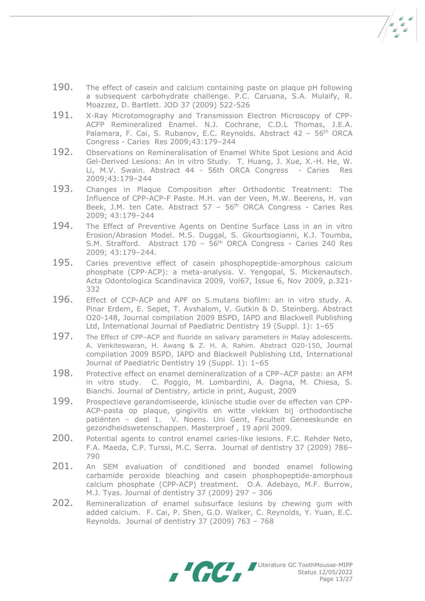- 190. The effect of casein and calcium containing paste on plaque pH following a subsequent carbohydrate challenge. P.C. Caruana, S.A. Mulaify, R. Moazzez, D. Bartlett. JOD 37 (2009) 522-526
- 191. X-Ray Microtomography and Transmission Electron Microscopy of CPP-ACFP Remineralized Enamel. N.J. Cochrane, C.D.L Thomas, J.E.A. Palamara, F. Cai, S. Rubanov, E.C. Reynolds. Abstract 42 - 56<sup>th</sup> ORCA Congress - Caries Res 2009;43:179–244
- 192. Observations on Remineralisation of Enamel White Spot Lesions and Acid Gel-Derived Lesions: An in vitro Study. T. Huang, J. Xue, X.-H. He, W. Li, M.V. Swain. Abstract 44 - 56th ORCA Congress - Caries Res 2009;43:179–244
- 193. Changes in Plaque Composition after Orthodontic Treatment: The Influence of CPP-ACP-F Paste. M.H. van der Veen, M.W. Beerens, H. van Beek, J.M. ten Cate. Abstract 57 - 56<sup>th</sup> ORCA Congress - Caries Res 2009; 43:179–244
- 194. The Effect of Preventive Agents on Dentine Surface Loss in an in vitro Erosion/Abrasion Model. M.S. Duggal, S. Gkourtsogianni, K.J. Toumba, S.M. Strafford. Abstract 170 - 56<sup>th</sup> ORCA Congress - Caries 240 Res 2009; 43:179–244.
- 195. Caries preventive effect of casein phosphopeptide-amorphous calcium phosphate (CPP-ACP): a meta-analysis. V. Yengopal, S. Mickenautsch. Acta Odontologica Scandinavica 2009, Vol67, Issue 6, Nov 2009, p.321- 332
- 196. Effect of CCP-ACP and APF on S.mutans biofilm: an in vitro study. A. Pinar Erdem, E. Sepet, T. Avshalom, V. Gutkin & D. Steinberg. Abstract O20-148, Journal compilation 2009 BSPD, IAPD and Blackwell Publishing Ltd, International Journal of Paediatric Dentistry 19 (Suppl. 1): 1–65
- 197. The Effect of CPP-ACP and fluoride on salivary parameters in Malay adolescents. A. Venkiteswaran, H. Awang & Z. H. A. Rahim. Abstract O20-150, Journal compilation 2009 BSPD, IAPD and Blackwell Publishing Ltd, International Journal of Paediatric Dentistry 19 (Suppl. 1): 1–65
- 198. Protective effect on enamel demineralization of a CPP–ACP paste: an AFM in vitro study. C. Poggio, M. Lombardini, A. Dagna, M. Chiesa, S. Bianchi. Journal of Dentistry, article in print, August, 2009
- 199. Prospectieve gerandomiseerde, klinische studie over de effecten van CPP-ACP-pasta op plaque, gingivitis en witte vlekken bij orthodontische patiënten – deel 1. V. Noens. Uni Gent, Faculteit Geneeskunde en gezondheidswetenschappen. Masterproef , 19 april 2009.
- 200. Potential agents to control enamel caries-like lesions. F.C. Rehder Neto, F.A. Maeda, C.P. Turssi, M.C. Serra. Journal of dentistry 37 (2009) 786– 790
- 201. An SEM evaluation of conditioned and bonded enamel following carbamide peroxide bleaching and casein phosphopeptide-amorphous calcium phosphate (CPP-ACP) treatment. O.A. Adebayo, M.F. Burrow, M.J. Tyas. Journal of dentistry 37 (2009) 297 – 306
- 202. Remineralization of enamel subsurface lesions by chewing gum with added calcium. F. Cai, P. Shen, G.D. Walker, C. Reynolds, Y. Yuan, E.C. Reynolds. Journal of dentistry 37 (2009) 763 – 768

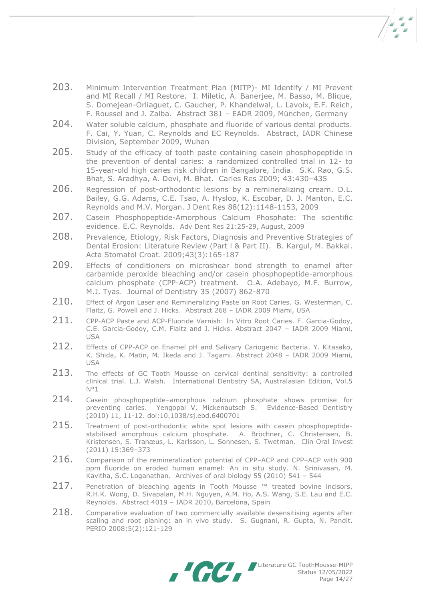- 203. Minimum Intervention Treatment Plan (MITP)- MI Identify / MI Prevent and MI Recall / MI Restore. I. Miletic, A. Banerjee, M. Basso, M. Blique, S. Domejean-Orliaguet, C. Gaucher, P. Khandelwal, L. Lavoix, E.F. Reich, F. Roussel and J. Zalba. Abstract 381 – EADR 2009, München, Germany
- 204. Water soluble calcium, phosphate and fluoride of various dental products. F. Cai, Y. Yuan, C. Reynolds and EC Reynolds. Abstract, IADR Chinese Division, September 2009, Wuhan
- 205. Study of the efficacy of tooth paste containing casein phosphopeptide in the prevention of dental caries: a randomized controlled trial in 12- to 15-year-old high caries risk children in Bangalore, India. S.K. Rao, G.S. Bhat, S. Aradhya, A. Devi, M. Bhat. Caries Res 2009; 43:430–435
- 206. Regression of post-orthodontic lesions by a remineralizing cream. D.L. Bailey, G.G. Adams, C.E. Tsao, A. Hyslop, K. Escobar, D. J. Manton, E.C. Reynolds and M.V. Morgan. J Dent Res 88(12):1148-1153, 2009
- 207. Casein Phosphopeptide-Amorphous Calcium Phosphate: The scientific evidence. E.C. Reynolds. Adv Dent Res 21:25-29, August, 2009
- 208. Prevalence, Etiology, Risk Factors, Diagnosis and Preventive Strategies of Dental Erosion: Literature Review (Part l & Part II). B. Kargul, M. Bakkal. Acta Stomatol Croat. 2009;43(3):165-187
- 209. Effects of conditioners on microshear bond strength to enamel after carbamide peroxide bleaching and/or casein phosphopeptide-amorphous calcium phosphate (CPP-ACP) treatment. O.A. Adebayo, M.F. Burrow, M.J. Tyas. Journal of Dentistry 35 (2007) 862-870
- 210. Effect of Argon Laser and Remineralizing Paste on Root Caries. G. Westerman, C. Flaitz, G. Powell and J. Hicks. Abstract 268 – IADR 2009 Miami, USA
- 211. CPP-ACP Paste and ACP-Fluoride Varnish: In Vitro Root Caries. F. Garcia-Godoy, C.E. Garcia-Godoy, C.M. Flaitz and J. Hicks. Abstract 2047 – IADR 2009 Miami, USA
- 212. Effects of CPP-ACP on Enamel pH and Salivary Cariogenic Bacteria. Y. Kitasako, K. Shida, K. Matin, M. Ikeda and J. Tagami. Abstract 2048 – IADR 2009 Miami, USA
- 213. The effects of GC Tooth Mousse on cervical dentinal sensitivity: a controlled clinical trial. L.J. Walsh. International Dentistry SA, Australasian Edition, Vol.5 N°1
- 214. Casein phosphopeptide-amorphous calcium phosphate shows promise for preventing caries. Yengopal V, Mickenautsch S. Evidence-Based Dentistry (2010) 11, 11-12. doi:10.1038/sj.ebd.6400701
- 215. Treatment of post-orthodontic white spot lesions with casein phosphopeptidestabilised amorphous calcium phosphate. A. [Bröchner,](http://www.ncbi.nlm.nih.gov/pubmed?term=%22Br%C3%B6chner%20A%22%5BAuthor%5D) C. [Christensen,](http://www.ncbi.nlm.nih.gov/pubmed?term=%22Christensen%20C%22%5BAuthor%5D) B. [Kristensen,](http://www.ncbi.nlm.nih.gov/pubmed?term=%22Kristensen%20B%22%5BAuthor%5D) S. [Tranæus,](http://www.ncbi.nlm.nih.gov/pubmed?term=%22Tran%C3%A6us%20S%22%5BAuthor%5D) L. [Karlsson,](http://www.ncbi.nlm.nih.gov/pubmed?term=%22Karlsson%20L%22%5BAuthor%5D) L. [Sonnesen,](http://www.ncbi.nlm.nih.gov/pubmed?term=%22Sonnesen%20L%22%5BAuthor%5D) S. [Twetman.](http://www.ncbi.nlm.nih.gov/pubmed?term=%22Twetman%20S%22%5BAuthor%5D) Clin Oral Invest (2011) 15:369–373
- $216.$  Comparison of the remineralization potential of CPP–ACP and CPP–ACP with 900 ppm fluoride on eroded human enamel: An in situ study. N. Srinivasan, M. Kavitha, S.C. Loganathan. Archives of oral biology 55 (2010) 541 – 544
- $217.$  Penetration of bleaching agents in Tooth Mousse  $M$  treated bovine incisors. R.H.K. Wong, D. Sivapalan, M.H. Nguyen, A.M. Ho, A.S. Wang, S.E. Lau and E.C. Reynolds. Abstract 4019 – IADR 2010, Barcelona, Spain
- 218. Comparative evaluation of two commercially available desensitising agents after scaling and root planing: an in vivo study. S. Gugnani, R. Gupta, N. Pandit. PERIO 2008;5(2):121-129



Literature GC ToothMousse-MIPP Status 12/05/2022 Page 14/27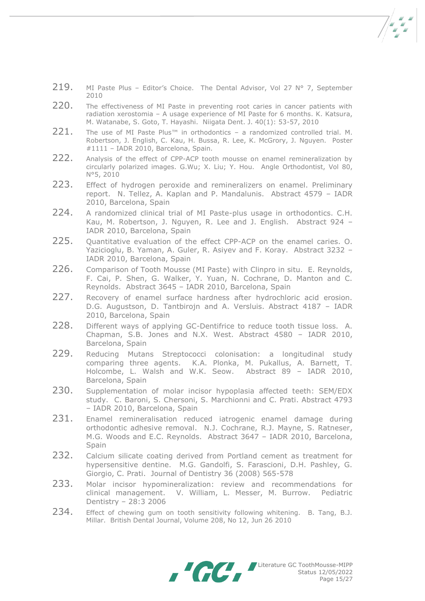- 219. MI Paste Plus Editor's Choice. The Dental Advisor, Vol 27  $N^{\circ}$  7, September 2010
- 220. The effectiveness of MI Paste in preventing root caries in cancer patients with radiation xerostomia – A usage experience of MI Paste for 6 months. K. Katsura, M. Watanabe, S. Goto, T. Hayashi. Niigata Dent. J. 40(1): 53-57, 2010
- 221. The use of MI Paste Plus™ in orthodontics a randomized controlled trial. M. Robertson, J. English, C. Kau, H. Bussa, R. Lee, K. McGrory, J. Nguyen. Poster #1111 – IADR 2010, Barcelona, Spain.
- 222. Analysis of the effect of CPP-ACP tooth mousse on enamel remineralization by circularly polarized images. G.Wu; X. Liu; Y. Hou. Angle Orthodontist, Vol 80, N°5, 2010
- 223. Effect of hydrogen peroxide and remineralizers on enamel. Preliminary report. N. Tellez, A. Kaplan and P. Mandalunis. Abstract 4579 – IADR 2010, Barcelona, Spain
- 224. A randomized clinical trial of MI Paste-plus usage in orthodontics. C.H. Kau, M. Robertson, J. Nguyen, R. Lee and J. English. Abstract 924 – IADR 2010, Barcelona, Spain
- 225. Ouantitative evaluation of the effect CPP-ACP on the enamel caries. O. Yazicioglu, B. Yaman, A. Guler, R. Asiyev and F. Koray. Abstract 3232 – IADR 2010, Barcelona, Spain
- 226. Comparison of Tooth Mousse (MI Paste) with Clinpro in situ. E. Reynolds, F. Cai, P. Shen, G. Walker, Y. Yuan, N. Cochrane, D. Manton and C. Reynolds. Abstract 3645 – IADR 2010, Barcelona, Spain
- 227. Recovery of enamel surface hardness after hydrochloric acid erosion. D.G. Augustson, D. Tantbirojn and A. Versluis. Abstract 4187 – IADR 2010, Barcelona, Spain
- 228. Different ways of applying GC-Dentifrice to reduce tooth tissue loss. A. Chapman, S.B. Jones and N.X. West. Abstract 4580 – IADR 2010, Barcelona, Spain
- 229. Reducing Mutans Streptococci colonisation: a longitudinal study comparing three agents. K.A. Plonka, M. Pukallus, A. Barnett, T. Holcombe, L. Walsh and W.K. Seow. Abstract 89 – IADR 2010, Barcelona, Spain
- 230. Supplementation of molar incisor hypoplasia affected teeth: SEM/EDX study. C. Baroni, S. Chersoni, S. Marchionni and C. Prati. Abstract 4793 – IADR 2010, Barcelona, Spain
- 231. Enamel remineralisation reduced iatrogenic enamel damage during orthodontic adhesive removal. N.J. Cochrane, R.J. Mayne, S. Ratneser, M.G. Woods and E.C. Reynolds. Abstract 3647 – IADR 2010, Barcelona, Spain
- 232. Calcium silicate coating derived from Portland cement as treatment for hypersensitive dentine. M.G. Gandolfi, S. Farascioni, D.H. Pashley, G. Giorgio, C. Prati. Journal of Dentistry 36 (2008) 565-578
- 233. Molar incisor hypomineralization: review and recommendations for clinical management. V. William, L. Messer, M. Burrow. Pediatric Dentistry – 28:3 2006
- 234. Effect of chewing gum on tooth sensitivity following whitening. B. Tang, B.J. Millar. British Dental Journal, Volume 208, No 12, Jun 26 2010

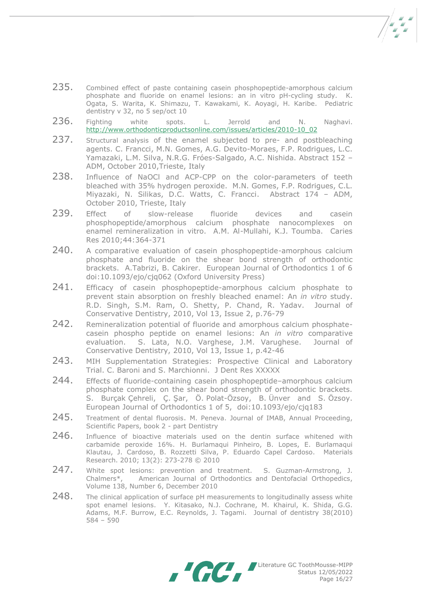- 
- 235. Combined effect of paste containing casein phosphopeptide-amorphous calcium phosphate and fluoride on enamel lesions: an in vitro pH-cycling study. K. Ogata, S. Warita, K. Shimazu, T. Kawakami, K. Aoyagi, H. Karibe. Pediatric dentistry v 32, no 5 sep/oct 10
- $236.$  Fighting white spots. L. Jerrold and N. Naghavi. [http://www.orthodonticproductsonline.com/issues/articles/2010-10\\_02](http://www.orthodonticproductsonline.com/issues/articles/2010-10_02)
- 237. Structural analysis of the enamel subjected to pre- and postbleaching agents. C. Francci, M.N. Gomes, A.G. Devito-Moraes, F.P. Rodrigues, L.C. Yamazaki, L.M. Silva, N.R.G. Fróes-Salgado, A.C. Nishida. Abstract 152 – ADM, October 2010,Trieste, Italy
- 238. Influence of NaOCl and ACP-CPP on the color-parameters of teeth bleached with 35% hydrogen peroxide. M.N. Gomes, F.P. Rodrigues, C.L. Miyazaki, N. Silikas, D.C. Watts, C. Francci. Abstract 174 – ADM, October 2010, Trieste, Italy
- 239. Effect of slow-release fluoride devices and casein phosphopeptide/amorphous calcium phosphate nanocomplexes on enamel remineralization in vitro. A.M. Al-Mullahi, K.J. Toumba. Caries Res 2010;44:364-371
- 240. A comparative evaluation of casein phosphopeptide-amorphous calcium phosphate and fluoride on the shear bond strength of orthodontic brackets. A.Tabrizi, B. Cakirer. European Journal of Orthodontics 1 of 6 doi:10.1093/ejo/cjq062 (Oxford University Press)
- 241. Efficacy of casein phosphopeptide-amorphous calcium phosphate to prevent stain absorption on freshly bleached enamel: An *in vitro* study. R.D. Singh, S.M. Ram, O. Shetty, P. Chand, R. Yadav. Journal of Conservative Dentistry, 2010, Vol 13, Issue 2, p.76-79
- 242. Remineralization potential of fluoride and amorphous calcium phosphatecasein phospho peptide on enamel lesions: An *in vitro* comparative evaluation. S. Lata, N.O. Varghese, J.M. Varughese. Journal of Conservative Dentistry, 2010, Vol 13, Issue 1, p.42-46
- 243. MIH Supplementation Strategies: Prospective Clinical and Laboratory Trial. C. Baroni and S. Marchionni. J Dent Res XXXXX
- 244. Effects of fluoride-containing casein phosphopeptide-amorphous calcium phosphate complex on the shear bond strength of orthodontic brackets. S. Burçak Çehreli, Ç. Şar, Ö. Polat-Özsoy, B. Ünver and S. Özsoy. European Journal of Orthodontics 1 of 5, doi:10.1093/ejo/cjq183
- 245. Treatment of dental fluorosis. M. Peneva. Journal of IMAB, Annual Proceeding, Scientific Papers, book 2 - part Dentistry
- 246. Influence of bioactive materials used on the dentin surface whitened with carbamide peroxide 16%. H. Burlamaqui Pinheiro, B. Lopes, E. Burlamaqui Klautau, J. Cardoso, B. Rozzetti Silva, P. Eduardo Capel Cardoso. Materials Research. 2010; 13(2): 273-278 © 2010
- 247. White spot lesions: prevention and treatment. S. Guzman-Armstrong, J. Chalmers\*, American Journal of Orthodontics and Dentofacial Orthopedics, Volume 138, Number 6, December 2010
- 248. The clinical application of surface pH measurements to longitudinally assess white spot enamel lesions. Y. Kitasako, N.J. Cochrane, M. Khairul, K. Shida, G.G. Adams, M.F. Burrow, E.C. Reynolds, J. Tagami. Journal of dentistry 38(2010) 584 – 590

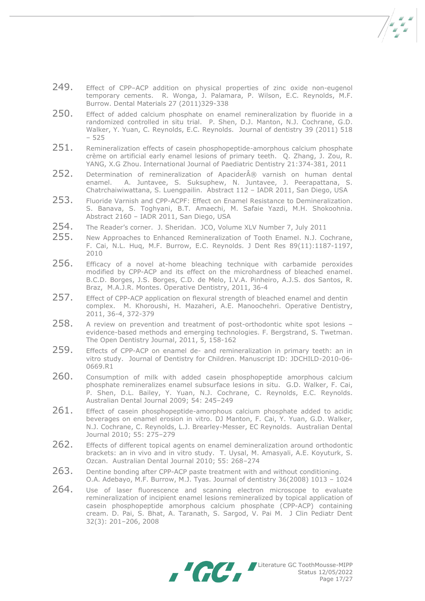- 249. Effect of CPP–ACP addition on physical properties of zinc oxide non-eugenol temporary cements. R. Wonga, J. Palamara, P. Wilson, E.C. Reynolds, M.F. Burrow. Dental Materials 27 (2011)329-338
- 250. Effect of added calcium phosphate on enamel remineralization by fluoride in a randomized controlled in situ trial. P. Shen, D.J. Manton, N.J. Cochrane, G.D. Walker, Y. Yuan, C. Reynolds, E.C. Reynolds. Journal of dentistry 39 (2011) 518 – 525
- $251.$  Remineralization effects of casein phosphopeptide-amorphous calcium phosphate crème on artificial early enamel lesions of primary teeth. Q. Zhang, J. Zou, R. YANG, X.G Zhou. International Journal of Paediatric Dentistry 21:374-381, 2011
- $252.$  Determination of remineralization of Apacider® varnish on human dental enamel. A. Juntavee, S. Suksuphew, N. Juntavee, J. Peerapattana, S. Chatrchaiwiwattana, S. Luengpailin. Abstract 112 – IADR 2011, San Diego, USA
- 253. Fluoride Varnish and CPP-ACPF: Effect on Enamel Resistance to Demineralization. S. Banava, S. Toghyani, B.T. Amaechi, M. Safaie Yazdi, M.H. Shokoohnia. Abstract 2160 – IADR 2011, San Diego, USA
- 254. The Reader's corner. J. Sheridan. JCO, Volume XLV Number 7, July 2011
- 255. New Approaches to Enhanced Remineralization of Tooth Enamel. N.J. Cochrane, F. Cai, N.L. Huq, M.F. Burrow, E.C. Reynolds. J Dent Res 89(11):1187-1197, 2010
- 256. Efficacy of a novel at-home bleaching technique with carbamide peroxides modified by CPP-ACP and its effect on the microhardness of bleached enamel. B.C.D. Borges, J.S. Borges, C.D. de Melo, I.V.A. Pinheiro, A.J.S. dos Santos, R. Braz, M.A.J.R. Montes. Operative Dentistry, 2011, 36-4
- 257. Effect of CPP-ACP application on flexural strength of bleached enamel and dentin complex. M. Khoroushi, H. Mazaheri, A.E. Manoochehri. Operative Dentistry, 2011, 36-4, 372-379
- 258. A review on prevention and treatment of post-orthodontic white spot lesions evidence-based methods and emerging technologies. F. Bergstrand, S. Twetman. The Open Dentistry Journal, 2011, 5, 158-162
- 259. Effects of CPP-ACP on enamel de- and remineralization in primary teeth: an in vitro study. Journal of Dentistry for Children. Manuscript ID: JDCHILD-2010-06- 0669.R1
- 260. Consumption of milk with added casein phosphopeptide amorphous calcium phosphate remineralizes enamel subsurface lesions in situ. G.D. Walker, F. Cai, P. Shen, D.L. Bailey, Y. Yuan, N.J. Cochrane, C. Reynolds, E.C. Reynolds. Australian Dental Journal 2009; 54: 245–249
- $261.$  Effect of casein phosphopeptide-amorphous calcium phosphate added to acidic beverages on enamel erosion in vitro. DJ Manton, F. Cai, Y. Yuan, G.D. Walker, N.J. Cochrane, C. Reynolds, L.J. Brearley-Messer, EC Reynolds. Australian Dental Journal 2010; 55: 275–279
- 262. Effects of different topical agents on enamel demineralization around orthodontic brackets: an in vivo and in vitro study. T. Uysal, M. Amasyali, A.E. Koyuturk, S. Ozcan. Australian Dental Journal 2010; 55: 268–274
- 263. Dentine bonding after CPP-ACP paste treatment with and without conditioning. O.A. Adebayo, M.F. Burrow, M.J. Tyas. Journal of dentistry 36(2008) 1013 – 1024
- 264. Use of laser fluorescence and scanning electron microscope to evaluate remineralization of incipient enamel lesions remineralized by topical application of casein phosphopeptide amorphous calcium phosphate (CPP-ACP) containing cream. D. Pai, S. Bhat, A. Taranath, S. Sargod, V. Pai M. J Clin Pediatr Dent 32(3): 201–206, 2008



Literature GC ToothMousse-MIPP Status 12/05/2022 Page 17/27

 $\sqrt{\frac{2}{\pi}}$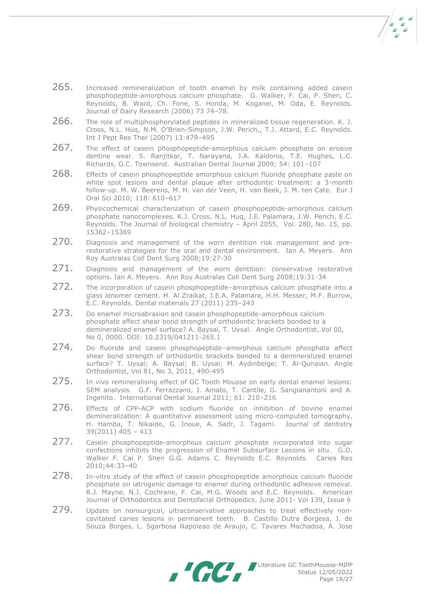- $265.$  Increased remineralization of tooth enamel by milk containing added casein phosphopeptide-amorphous calcium phosphate. G. Walker, F. Cai, P. Shen, C. Reynolds, B. Ward, Ch. Fone, S. Honda, M. Koganei, M. Oda, E. Reynolds. Journal of Dairy Research (2006) 73 74–78.
- 266. The role of multiphosphorylated peptides in mineralized tissue regeneration. K. J. Cross, N.L. Huq, N.M. O'Brien-Simpson, J.W. Perich,, T.J. Attard, E.C. Reynolds. Int J Pept Res Ther (2007) 13:479–495
- 267. The effect of casein phosphopeptide-amorphous calcium phosphate on erosive dentine wear. S. Ranjitkar, T. Narayana, J.A. Kaidonis, T.E. Hughes, L.C. Richards, G.C. Townsend. Australian Dental Journal 2009; 54: 101–107
- 268. Effects of casein phosphopeptide amorphous calcium fluoride phosphate paste on white spot lesions and dental plaque after orthodontic treatment: a 3-month follow-up. M. W. Beerens, M. H. van der Veen, H. van Beek, J. M. ten Cate. Eur J Oral Sci 2010; 118: 610–617
- 269. Physicochemical characterization of casein phosphopeptide-amorphous calcium phosphate nanocomplexes. K.J. Cross, N.L. Huq, J.E. Palamara, J.W. Perich, E.C. Reynolds. The Journal of biological chemistry – April 2055, Vol. 280, No. 15, pp. 15362–15369
- 270. Diagnosis and management of the worn dentition risk management and prerestorative strategies for the oral and dental environment. Ian A. Meyers. Ann Roy Australas Coll Dent Surg 2008;19:27-30
- 271. Diagnosis and management of the worn dentition: conservative restorative options. Ian A. Meyers. Ann Roy Australas Coll Dent Surg 2008;19:31-34
- 272. The incorporation of casein phosphopeptide–amorphous calcium phosphate into a glass ionomer cement. H. Al Zraikat, J.E.A. Palamara, H.H. Messer, M.F. Burrow, E.C. Reynolds. Dental materials 27 (2011) 235–243
- 273. Do enamel microabrasion and casein phosphopeptide-amorphous calcium phosphate affect shear bond strength of orthodontic brackets bonded to a demineralized enamel surface? A. Baysal, T. Uysal. Angle Orthodontist, Vol 00, No 0, 0000. DOI: 10.2319/041211-265.1
- 274. Do fluoride and casein phosphopeptide-amorphous calcium phosphate affect shear bond strength of orthodontic brackets bonded to a demineralized enamel surface? T. Uysal; A. Baysal; B. Uysal; M. Aydınbelge; T. Al-Qunaian. Angle Orthodontist, Vol 81, No 3, 2011, 490-495
- 275. In vivo remineralising effect of GC Tooth Mousse on early dental enamel lesions: SEM analysis. G.F. Ferrazzano, I. Amato, T. Cantile, G. Sangianantoni and A. Ingenito. International Dental Journal 2011; 61: 210–216
- 276. Effects of CPP-ACP with sodium fluoride on inhibition of bovine enamel demineralization: A quantitative assessment using micro-computed tomography. H. Hamba, T. Nikaido, G. Inoue, A. Sadr, J. Tagami. Journal of dentistry 39(2011) 405 – 413
- 277. Casein phosphopeptide-amorphous calcium phosphate incorporated into sugar confections inhibits the progression of Enamel Subsurface Lesions in situ. G.D. Walker F. Cai P. Shen G.G. Adams C. Reynolds E.C. Reynolds. Caries Res 2010;44:33–40
- 278. In-vitro study of the effect of casein phosphopeptide amorphous calcium fluoride phosphate on iatrogenic damage to enamel during orthodontic adhesive removal. R.J. Mayne, N.J. Cochrane, F. Cai, M.G. Woods and E.C. Reynolds. American Journal of Orthodontics and Dentofacial Orthopedics, June 2011- Vol 139, Issue 6
- 279. Update on nonsurgical, ultraconservative approaches to treat effectively noncavitated caries lesions in permanent teeth. B. Castillo Dutra Borgesa, J. de Souza Borges, L. Sgarbosa Napoleao de Araujo, C. Tavares Machadoa, A. Jose

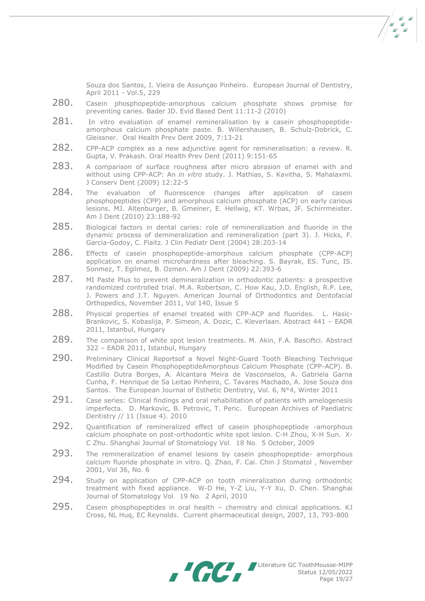Souza dos Santos, I. Vieira de Assunçao Pinheiro. European Journal of Dentistry, April 2011 - Vol.5, 229

- 280. Casein phosphopeptide-amorphous calcium phosphate shows promise for preventing caries. Bader JD. Evid Based Dent 11*:*11-2 (2010)
- 281. In vitro evaluation of enamel remineralisation by a casein phosphopeptideamorphous calcium phosphate paste. B. Willershausen, B. Schulz-Dobrick, C. Gleissner. Oral Health Prev Dent 2009, 7*:*13-21
- 282. CPP-ACP complex as a new adjunctive agent for remineralisation: a review. R. Gupta, V. Prakash. Oral Health Prev Dent (2011) 9:151-65
- 283. A comparison of surface roughness after micro abrasion of enamel with and without using CPP-ACP: An *in vitro* study. J. Mathias, S. Kavitha, S. Mahalaxmi. J Conserv Dent (2009) 12:22-5
- 284. The evaluation of fluorescence changes after application of casein phosphopeptides (CPP) and amorphous calcium phosphate (ACP) on early carious lesions. MJ. Altenburger, B. Gmeiner, E. Hellwig, KT. Wrbas, JF. Schirrmeister. Am J Dent (2010) 23:188-92
- 285. Biological factors in dental caries: role of remineralization and fluoride in the dynamic process of demineralization and remineralization (part 3). J. Hicks, F. Garcia-Godoy, C. Flaitz. J Clin Pediatr Dent (2004) 28:203-14
- 286. Effects of casein phosphopeptide-amorphous calcium phosphate (CPP-ACP) application on enamel microhardness after bleaching. S. Bayrak, ES. Tunc, IS. Sonmez, T. Egilmez, B. Ozmen. Am J Dent (2009) 22:393-6
- 287. MI Paste Plus to prevent demineralization in orthodontic patients: a prospective randomized controlled trial. M.A. Robertson, C. How Kau, J.D. English, R.P. Lee, J. Powers and J.T. Nguyen. American Journal of Orthodontics and Dentofacial Orthopedics, November 2011, Vol 140, Issue 5
- 288. Physical properties of enamel treated with CPP-ACP and fluorides. L. Hasic-Brankovic, S. Kobaslija, P. Simeon, A. Dozic, C. Kleverlaan. Abstract 441 – EADR 2011, Istanbul, Hungary
- 289. The comparison of white spot lesion treatments. M. Akin, F.A. Basciftci. Abstract 322 – EADR 2011, Istanbul, Hungary
- 290. Preliminary Clinical Reportsof a Novel Night-Guard Tooth Bleaching Technique Modified by Casein PhosphopeptideAmorphous Calcium Phosphate (CPP-ACP). B. Castillo Dutra Borges, A. Alcantara Meira de Vasconselos, A. Gabriela Garna Cunha, F. Henrique de Sa Leitao Pinheiro, C. Tavares Machado, A. Jose Souza dos Santos. The European Journal of Esthetic Dentistry, Vol. 6, N°4, Winter 2011
- 291. Case series: Clinical findings and oral rehabilitation of patients with amelogenesis imperfecta. D. Markovic, B. Petrovic, T. Peric.European Archives of Paediatric Dentistry // 11 (Issue 4). 2010
- 292. Ouantification of remineralized effect of casein phosphopeptiode -amorphous calcium phosphate on post-orthodontic white spot lesion. C-H Zhou, X-H Sun,X-C Zhu. Shanghai Journal of Stomatology Vol.18 No.5 October, 2009
- 293. The remineralization of enamel lesions by casein phosphopeptide- amorphous calcium fluoride phosphate in vitro. Q. Zhao, F. Cai. Chin J Stomatol , November 2001, Vol 36, No. 6
- 294. Study on application of CPP-ACP on tooth mineralization during orthodontic treatment with fixed appliance. W-D He, Y-Z Liu, Y-Y Xu, D. Chen. Shanghai Journal of Stomatology Vol. 19 No. 2 April, 2010
- 295. Casein phosphopeptides in oral health chemistry and clinical applications. KJ Cross, NL Huq, EC Reynolds. Current pharmaceutical design, 2007, 13, 793-800

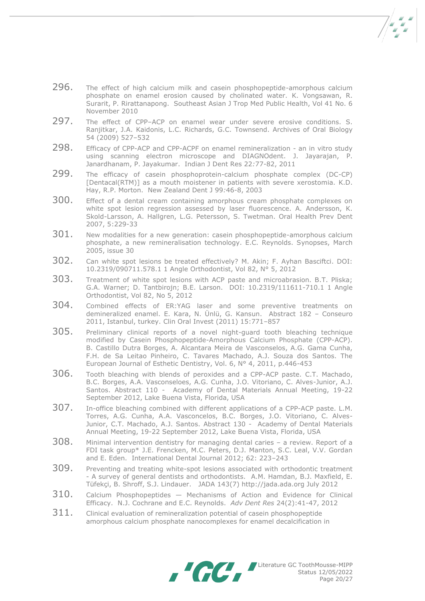296. The effect of high calcium milk and casein phosphopeptide-amorphous calcium phosphate on enamel erosion caused by cholinated water. K. Vongsawan, R. Surarit, P. Rirattanapong. Southeast Asian J Trop Med Public Health, Vol 41 No. 6 November 2010

- 297. The effect of CPP–ACP on enamel wear under severe erosive conditions. S. Ranjitkar, J.A. Kaidonis, L.C. Richards, G.C. Townsend. Archives of Oral Biology 54 (2009) 527–532
- 298. Efficacy of CPP-ACP and CPP-ACPF on enamel remineralization an in vitro study using scanning electron microscope and DIAGNOdent. J. Jayarajan, P. Janardhanam, P. Jayakumar. Indian J Dent Res 22*:*77-82, 2011
- 299. The efficacy of casein phosphoprotein-calcium phosphate complex (DC-CP) [Dentacal(RTM)] as a mouth moistener in patients with severe xerostomia. K.D. Hay, R.P. Morton. New Zealand Dent J 99*:*46-8, 2003
- 300. Effect of a dental cream containing amorphous cream phosphate complexes on white spot lesion regression assessed by laser fluorescence. A. Andersson, K. Skold-Larsson, A. Hallgren, L.G. Petersson, S. Twetman. Oral Health Prev Dent 2007, 5:229-33
- $301.$  New modalities for a new generation: casein phosphopeptide-amorphous calcium phosphate, a new remineralisation technology. E.C. Reynolds. Synopses, March 2005, issue 30
- 302. Can white spot lesions be treated effectively? M. Akin; F. Ayhan Basciftci. DOI: 10.2319/090711.578.1 1 Angle Orthodontist, Vol 82, N° 5, 2012
- 303. Treatment of white spot lesions with ACP paste and microabrasion. B.T. Pliska; G.A. Warner; D. Tantbirojn; B.E. Larson. DOI: 10.2319/111611-710.1 1 Angle Orthodontist, Vol 82, No 5, 2012
- 304. Combined effects of ER:YAG laser and some preventive treatments on demineralized enamel. E. Kara, N. Ünlü, G. Kansun. Abstract 182 – Conseuro 2011, Istanbul, turkey. Clin Oral Invest (2011) 15:771–857
- 305. Preliminary clinical reports of a novel night-guard tooth bleaching technique modified by Casein Phosphopeptide-Amorphous Calcium Phosphate (CPP-ACP). B. Castillo Dutra Borges, A. Alcantara Meira de Vasconselos, A.G. Gama Cunha, F.H. de Sa Leitao Pinheiro, C. Tavares Machado, A.J. Souza dos Santos. The European Journal of Esthetic Dentistry, Vol. 6, N° 4, 2011, p.446-453
- 306. Tooth bleaching with blends of peroxides and a CPP-ACP paste. C.T. Machado, B.C. Borges, A.A. Vasconseloes, A.G. Cunha, J.O. Vitoriano, C. Alves-Junior, A.J. Santos. Abstract 110 - Academy of Dental Materials Annual Meeting, 19-22 September 2012, Lake Buena Vista, Florida, USA
- 307. In-office bleaching combined with different applications of a CPP-ACP paste. L.M. Torres, A.G. Cunha, A.A. Vasconcelos, B.C. Borges, J.O. Vitoriano, C. Alves-Junior, C.T. Machado, A.J. Santos. Abstract 130 - Academy of Dental Materials Annual Meeting, 19-22 September 2012, Lake Buena Vista, Florida, USA
- $308.$  Minimal intervention dentistry for managing dental caries a review. Report of a FDI task group\* J.E. Frencken, M.C. Peters, D.J. Manton, S.C. Leal, V.V. Gordan and E. Eden. International Dental Journal 2012; 62: 223–243
- 309. Preventing and treating white-spot lesions associated with orthodontic treatment - A survey of general dentists and orthodontists. A.M. Hamdan, B.J. Maxfield, E. Tüfekçi, B. Shroff, S.J. Lindauer. JADA 143(7) http://jada.ada.org July 2012
- $310.$  Calcium Phosphopeptides  $-$  Mechanisms of Action and Evidence for Clinical Efficacy. N.J. Cochrane and E.C. Reynolds. *Adv Dent Res* 24(2):41-47, 2012
- $311.$  Clinical evaluation of remineralization potential of casein phosphopeptide amorphous calcium phosphate nanocomplexes for enamel decalcification in

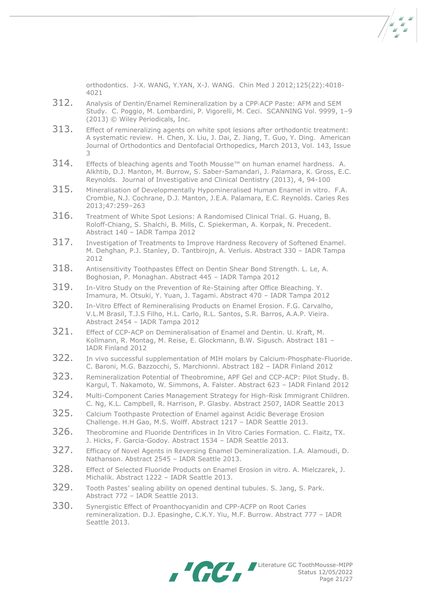orthodontics. J-X. WANG, Y.YAN, X-J. WANG. Chin Med J 2012;125(22):4018- 4021

- 312. Analysis of Dentin/Enamel Remineralization by a CPP-ACP Paste: AFM and SEM Study. C. Poggio, M. Lombardini, P. Vigorelli, M. Ceci. SCANNING Vol. 9999, 1–9 (2013) © Wiley Periodicals, Inc.
- $313.$  Effect of remineralizing agents on white spot lesions after orthodontic treatment: A systematic review. H. Chen, X. Liu, J. Dai, Z. Jiang, T. Guo, Y. Ding. American Journal of Orthodontics and Dentofacial Orthopedics, March 2013, Vol. 143, Issue 3
- $314.$  Effects of bleaching agents and Tooth Mousse™ on human enamel hardness. A. Alkhtib, D.J. Manton, M. Burrow, S. Saber-Samandari, J. Palamara, K. Gross, E.C. Reynolds. Journal of Investigative and Clinical Dentistry (2013), 4, 94-100
- $315.$  Mineralisation of Developmentally Hypomineralised Human Enamel in vitro. F.A. Crombie, N.J. Cochrane, D.J. Manton, J.E.A. Palamara, E.C. Reynolds. Caries Res 2013;47:259–263
- 316. Treatment of White Spot Lesions: A Randomised Clinical Trial. G. Huang, B. Roloff-Chiang, S. Shalchi, B. Mills, C. Spiekerman, A. Korpak, N. Precedent. Abstract 140 – IADR Tampa 2012
- 317. Investigation of Treatments to Improve Hardness Recovery of Softened Enamel. M. Dehghan, P.J. Stanley, D. Tantbirojn, A. Verluis. Abstract 330 – IADR Tampa 2012
- 318. Antisensitivity Toothpastes Effect on Dentin Shear Bond Strength. L. Le, A. Boghosian, P. Monaghan. Abstract 445 – IADR Tampa 2012
- 319. In-Vitro Study on the Prevention of Re-Staining after Office Bleaching. Y. Imamura, M. Otsuki, Y. Yuan, J. Tagami. Abstract 470 – IADR Tampa 2012
- 320. In-Vitro Effect of Remineralising Products on Enamel Erosion. F.G. Carvalho, V.L.M Brasil, T.J.S Filho, H.L. Carlo, R.L. Santos, S.R. Barros, A.A.P. Vieira. Abstract 2454 – IADR Tampa 2012
- 321. Effect of CCP-ACP on Demineralisation of Enamel and Dentin. U. Kraft, M. Kollmann, R. Montag, M. Reise, E. Glockmann, B.W. Sigusch. Abstract 181 – IADR Finland 2012
- 322. In vivo successful supplementation of MIH molars by Calcium-Phosphate-Fluoride. C. Baroni, M.G. Bazzocchi, S. Marchionni. Abstract 182 – IADR Finland 2012
- 323. Remineralization Potential of Theobromine, APF Gel and CCP-ACP: Pilot Study. B. Kargul, T. Nakamoto, W. Simmons, A. Falster. Abstract 623 – IADR Finland 2012
- 324. Multi-Component Caries Management Strategy for High-Risk Immigrant Children. C. Ng, K.L. Campbell, R. Harrison, P. Glasby. Abstract 2507, IADR Seattle 2013
- 325. Calcium Toothpaste Protection of Enamel against Acidic Beverage Erosion Challenge. H.H Gao, M.S. Wolff. Abstract 1217 – IADR Seattle 2013.
- 326. Theobromine and Fluoride Dentrifices in In Vitro Caries Formation. C. Flaitz, TX. J. Hicks, F. Garcia-Godoy. Abstract 1534 – IADR Seattle 2013.
- 327. Efficacy of Novel Agents in Reversing Enamel Demineralization. I.A. Alamoudi, D. Nathanson. Abstract 2545 – IADR Seattle 2013.
- 328. Effect of Selected Fluoride Products on Enamel Erosion in vitro. A. Mielczarek, J. Michalik. Abstract 1222 – IADR Seattle 2013.
- 329. Tooth Pastes' sealing ability on opened dentinal tubules. S. Jang, S. Park. Abstract 772 – IADR Seattle 2013.
- 330. Synergistic Effect of Proanthocyanidin and CPP-ACFP on Root Caries remineralization. D.J. Epasinghe, C.K.Y. Yiu, M.F. Burrow. Abstract 777 – IADR Seattle 2013.

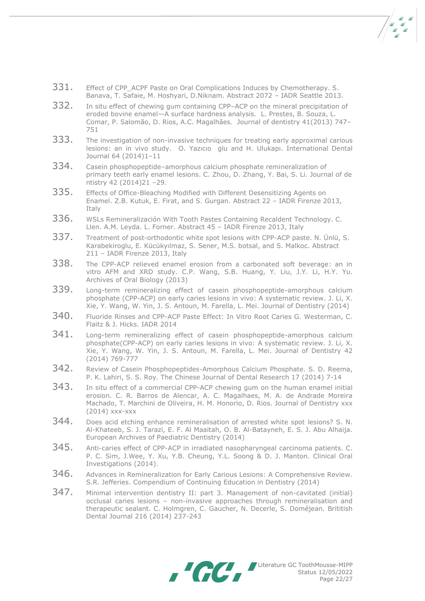- 331. Effect of CPP ACPF Paste on Oral Complications Induces by Chemotherapy. S. Banava, T. Safaie, M. Hoshyari, D.Niknam. Abstract 2072 – IADR Seattle 2013.
- 332. In situ effect of chewing gum containing CPP–ACP on the mineral precipitation of eroded bovine enamel—A surface hardness analysis. L. Prestes, B. Souza, L. Comar, P. Salomão, D. Rios, A.C. Magalhães. Journal of dentistry 41(2013) 747– 751
- 333. The investigation of non-invasive techniques for treating early approximal carious lesions: an in vivo study. O. Yazıcıo glu and H. Ulukapı. International Dental Journal 64 (2014)1–11
- 334. Casein phosphopeptide-amorphous calcium phosphate remineralization of primary teeth early enamel lesions. C. Zhou, D. Zhang, Y. Bai, S. Li. Journal of de ntistry 42 (2014)21 –29.
- 335. Effects of Office-Bleaching Modified with Different Desensitizing Agents on Enamel. Z.B. Kutuk, E. Firat, and S. Gurgan. Abstract 22 – IADR Firenze 2013, Italy
- 336. WSLs Remineralización With Tooth Pastes Containing Recaldent Technology. C. Llen. A.M. Leyda. L. Forner. Abstract 45 – IADR Firenze 2013, Italy
- 337. Treatment of post-orthodontic white spot lesions with CPP-ACP paste. N. Ünlü, S. Karabekiroglu, E. Kücükyılmaz, S. Sener, M.S. botsal, and S. Malkoc. Abstract 211 – IADR Firenze 2013, Italy
- 338. The CPP-ACP relieved enamel erosion from a carbonated soft beverage: an in vitro AFM and XRD study. C.P. Wang, S.B. Huang, Y. Liu, J.Y. Li, H.Y. Yu. Archives of Oral Biology (2013)
- 339. Long-term remineralizing effect of casein phosphopeptide-amorphous calcium phosphate (CPP-ACP) on early caries lesions in vivo: A systematic review. J. Li, X. Xie, Y. Wang, W. Yin, J. S. Antoun, M. Farella, L. Mei. Journal of Dentistry (2014)
- 340. Fluoride Rinses and CPP-ACP Paste Effect: In Vitro Root Caries G. Westerman, C. Flaitz & J. Hicks. IADR 2014
- 341. Long-term remineralizing effect of casein phosphopeptide-amorphous calcium phosphate(CPP-ACP) on early caries lesions in vivo: A systematic review. J. Li, X. Xie, Y. Wang, W. Yin, J. S. Antoun, M. Farella, L. Mei. Journal of Dentistry 42 (2014) 769-777
- 342. Review of Casein Phosphopeptides-Amorphous Calcium Phosphate. S. D. Reema, P. K. Lahiri, S. S. Roy. The Chinese Journal of Dental Research 17 (2014) 7-14
- 343. In situ effect of a commercial CPP-ACP chewing gum on the human enamel initial erosion. C. R. Barros de Alencar, A. C. Magalhaes, M. A. de Andrade Moreira Machado, T. Marchini de Oliveira, H. M. Honorio, D. Rios. Journal of Dentistry xxx (2014) xxx-xxx
- 344. Does acid etching enhance remineralisation of arrested white spot lesions? S. N. Al-Khateeb, S. J. Tarazi, E. F. Al Maaitah, O. B. Al-Batayneh, E. S. J. Abu Alhaija. European Archives of Paediatric Dentistry (2014)
- 345. Anti-caries effect of CPP-ACP in irradiated nasopharyngeal carcinoma patients. C. P. C. Sim, J.Wee, Y. Xu, Y.B. Cheung, Y.L. Soong & D. J. Manton. Clinical Oral Investigations (2014).
- 346. Advances in Remineralization for Early Carious Lesions: A Comprehensive Review. S.R. Jefferies. Compendium of Continuing Education in Dentistry (2014)
- 347. Minimal intervention dentistry II: part 3. Management of non-cavitated (initial) occlusal caries lesions – non-invasive approaches through remineralisation and therapeutic sealant. C. Holmgren, C. Gaucher, N. Decerle, S. Doméjean. Brititish Dental Journal 216 (2014) 237-243

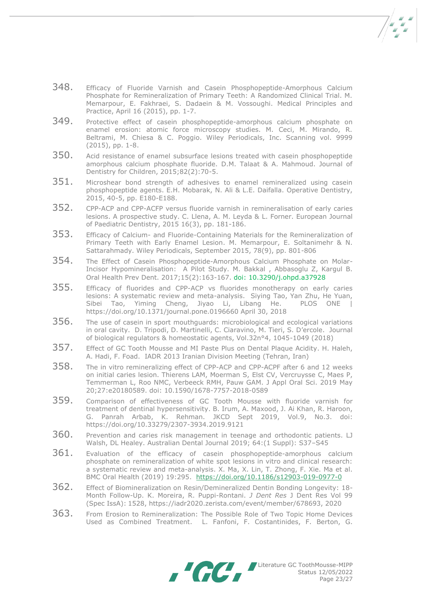348. Efficacy of Fluoride Varnish and Casein Phosphopeptide-Amorphous Calcium Phosphate for Remineralization of Primary Teeth: A Randomized Clinical Trial. M. Memarpour, E. Fakhraei, S. Dadaein & M. Vossoughi. Medical Principles and Practice, April 16 (2015), pp. 1-7.

- 349. Protective effect of casein phosphopeptide-amorphous calcium phosphate on enamel erosion: atomic force microscopy studies. M. Ceci, M. Mirando, R. Beltrami, M. Chiesa & C. Poggio. Wiley Periodicals, Inc. Scanning vol. 9999 (2015), pp. 1-8.
- 350. Acid resistance of enamel subsurface lesions treated with casein phosphopeptide amorphous calcium phosphate fluoride. D.M. Talaat & A. Mahmoud. Journal of Dentistry for Children, 2015;82(2):70-5.
- 351. Microshear bond strength of adhesives to enamel remineralized using casein phosphopeptide agents. E.H. Mobarak, N. Ali & L.E. Daifalla. Operative Dentistry, 2015, 40-5, pp. E180-E188.
- 352. CPP-ACP and CPP-ACFP versus fluoride varnish in remineralisation of early caries lesions. A prospective study. C. Llena, A. M. Leyda & L. Forner. European Journal of Paediatric Dentistry, 2015 16(3), pp. 181-186.
- 353. Efficacy of Calcium- and Fluoride-Containing Materials for the Remineralization of Primary Teeth with Early Enamel Lesion. M. Memarpour, E. Soltanimehr & N. Sattarahmady. Wiley Periodicals, September 2015, 78(9), pp. 801-806
- 354. The Effect of Casein Phosphopeptide-Amorphous Calcium Phosphate on Molar-Incisor Hypomineralisation: A Pilot Study. M. [Bakkal ,](https://www.ncbi.nlm.nih.gov/pubmed/?term=Bakkal%20M%5BAuthor%5D&cauthor=true&cauthor_uid=28322360) [Abbasoglu Z,](https://www.ncbi.nlm.nih.gov/pubmed/?term=Abbasoglu%20Z%5BAuthor%5D&cauthor=true&cauthor_uid=28322360) [Kargul B.](https://www.ncbi.nlm.nih.gov/pubmed/?term=Kargul%20B%5BAuthor%5D&cauthor=true&cauthor_uid=28322360) [Oral Health Prev Dent.](https://www.ncbi.nlm.nih.gov/pubmed/28322360) 2017;15(2):163-167. doi: 10.3290/j.ohpd.a37928
- 355. Efficacy of fluorides and CPP-ACP vs fluorides monotherapy on early caries lesions: A systematic review and meta-analysis. Siying Tao, Yan Zhu, He Yuan, Sibei Tao, Yiming Cheng, Jiyao Li, Libang He. PLOS ONE https://doi.org/10.1371/journal.pone.0196660 April 30, 2018
- 356. The use of casein in sport mouthguards: microbiological and ecological variations in oral cavity. D. Tripodi, D. Martinelli, C. Ciaravino, M. Tieri, S. D'ercole. Journal of biological regulators & homeostatic agents, Vol.32n°4, 1045-1049 (2018)
- 357. Effect of GC Tooth Mousse and MI Paste Plus on Dental Plaque Acidity. H. Haleh, A. Hadi, F. Foad. IADR 2013 Iranian Division Meeting (Tehran, Iran)
- 358. The in vitro remineralizing effect of CPP-ACP and CPP-ACPF after 6 and 12 weeks on initial caries lesion. Thierens LAM, Moerman S, Elst CV, Vercruysse C, Maes P, Temmerman L, Roo NMC, Verbeeck RMH, Pauw GAM. J Appl Oral Sci. 2019 May 20;27:e20180589. doi: 10.1590/1678-7757-2018-0589
- 359. Comparison of effectiveness of GC Tooth Mousse with fluoride varnish for treatment of dentinal hypersensitivity. B. Irum, A. Maxood, J. Ai Khan, R. Haroon, G. Panrah Arbab, K. Rehman. JKCD Sept 2019, Vol.9, No.3. doi: https://doi.org/10.33279/2307-3934.2019.9121
- 360. Prevention and caries risk management in teenage and orthodontic patients. LJ Walsh, DL Healey. Australian Dental Journal 2019; 64:(1 Suppl): S37–S45
- 361. Evaluation of the efficacy of casein phosphopeptide-amorphous calcium phosphate on remineralization of white spot lesions in vitro and clinical research: a systematic review and meta-analysis. X. Ma, X. Lin, T. Zhong, F. Xie. Ma et al. BMC Oral Health (2019) 19:295. <https://doi.org/10.1186/s12903-019-0977-0>
- 362. Effect of Biomineralization on Resin/Demineralized Dentin Bonding Longevity: 18- Month Follow-Up. K. Moreira, R. Puppi-Rontani. *J Dent Res* J Dent Res Vol 99 (Spec IssA): 1528, https://iadr2020.zerista.com/event/member/678693, 2020
- 363. From Erosion to Remineralization: The Possible Role of Two Topic Home Devices Used as Combined Treatment. L. Fanfoni, F. Costantinides, F. Berton, G.

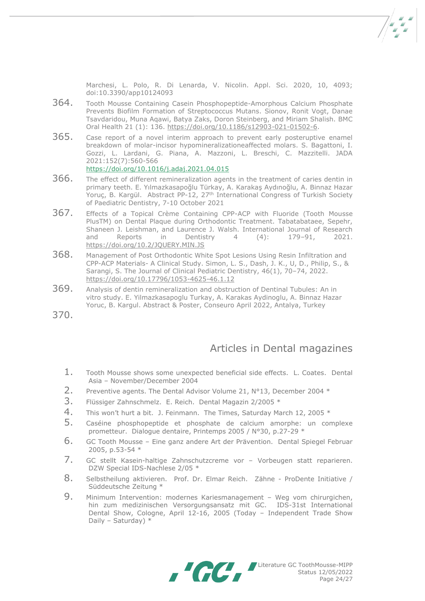Marchesi, L. Polo, R. Di Lenarda, V. Nicolin. Appl. Sci. 2020, 10, 4093; doi:10.3390/app10124093

- 364. Tooth Mousse Containing Casein Phosphopeptide-Amorphous Calcium Phosphate Prevents Biofilm Formation of Streptococcus Mutans. Sionov, Ronit Vogt, Danae Tsavdaridou, Muna Aqawi, Batya Zaks, Doron Steinberg, and Miriam Shalish. BMC Oral Health 21 (1): 136. [https://doi.org/10.1186/s12903-021-01502-6.](https://doi.org/10.1186/s12903-021-01502-6)
- 365. Case report of a novel interim approach to prevent early posteruptive enamel breakdown of molar-incisor hypomineralizationeaffected molars. S. Bagattoni, I. Gozzi, L. Lardani, G. Piana, A. Mazzoni, L. Breschi, C. Mazzitelli. JADA 2021:152(7):560-566 <https://doi.org/10.1016/j.adaj.2021.04.015>
- 366. The effect of different remineralization agents in the treatment of caries dentin in primary teeth. E. Yılmazkasapoğlu Türkay, A. Karakaş Aydınoğlu, A. Binnaz Hazar Yoruç, B. Kargül. Abstract PP-12, 27th International Congress of Turkish Society of Paediatric Dentistry, 7-10 October 2021
- 367. Effects of a Topical Crème Containing CPP-ACP with Fluoride (Tooth Mousse PlusTM) on Dental Plaque during Orthodontic Treatment. Tabatabataee, Sepehr, Shaneen J. Leishman, and Laurence J. Walsh. International Journal of Research and Reports in Dentistry 4 (4): 179–91, 2021. <https://doi.org/10.2/JQUERY.MIN.JS>
- 368. Management of Post Orthodontic White Spot Lesions Using Resin Infiltration and CPP-ACP Materials- A Clinical Study. Simon, L. S., Dash, J. K., U, D., Philip, S., & Sarangi, S. The Journal of Clinical Pediatric Dentistry, 46(1), 70–74, 2022. <https://doi.org/10.17796/1053-4625-46.1.12>
- 369. Analysis of dentin remineralization and obstruction of Dentinal Tubules: An in vitro study. E. Yilmazkasapoglu Turkay, A. Karakas Aydinoglu, A. Binnaz Hazar Yoruc, B. Kargul. Abstract & Poster, Conseuro April 2022, Antalya, Turkey
- 370.

## Articles in Dental magazines

- 1. Tooth Mousse shows some unexpected beneficial side effects. L. Coates. Dental Asia – November/December 2004
- 2. Preventive agents. The Dental Advisor Volume 21,  $N^{\circ}$ 13, December 2004  $*$
- 3. Flüssiger Zahnschmelz. E. Reich. Dental Magazin 2/2005 \*
- 4. This won't hurt a bit. J. Feinmann. The Times, Saturday March 12, 2005 \*
- 5. Caséine phosphopeptide et phosphate de calcium amorphe: un complexe prometteur. Dialogue dentaire, Printemps 2005 / N°30, p.27-29 \*
- 6. GC Tooth Mousse Eine ganz andere Art der Prävention. Dental Spiegel Februar 2005, p.53-54 \*
- 7. GC stellt Kasein-haltige Zahnschutzcreme vor Vorbeugen statt reparieren. DZW Special IDS-Nachlese 2/05 \*
- 8. Selbstheilung aktivieren. Prof. Dr. Elmar Reich. Zähne ProDente Initiative / Süddeutsche Zeitung \*
- 9. Minimum Intervention: modernes Kariesmanagement Weg vom chirurgichen, hin zum medizinischen Versorgungsansatz mit GC. IDS-31st International Dental Show, Cologne, April 12-16, 2005 (Today – Independent Trade Show Daily – Saturday) \*

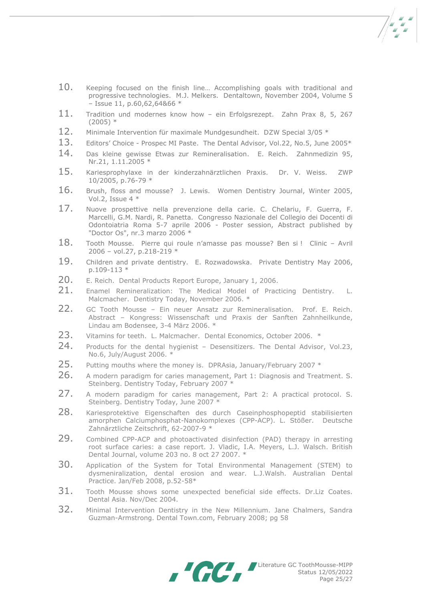- $\frac{1}{2}$
- 10. Keeping focused on the finish line... Accomplishing goals with traditional and progressive technologies. M.J. Melkers. Dentaltown, November 2004, Volume 5  $-$  Issue 11, p.60,62,64&66  $*$
- 11. Tradition und modernes know how ein Erfolgsrezept. Zahn Prax 8, 5, 267  $(2005)$  \*
- 12. Minimale Intervention für maximale Mundgesundheit. DZW Special 3/05 \*
- 13. Editors' Choice Prospec MI Paste. The Dental Advisor, Vol.22, No.5, June 2005\*
- 14. Das kleine gewisse Etwas zur Remineralisation. E. Reich. Zahnmedizin 95, Nr.21, 1.11.2005 \*
- 15. Kariesprophylaxe in der kinderzahnärztlichen Praxis. Dr. V. Weiss. ZWP 10/2005, p.76-79 \*
- 16. Brush, floss and mousse? J. Lewis. Women Dentistry Journal, Winter 2005, Vol.2, Issue 4 \*
- 17. Nuove prospettive nella prevenzione della carie. C. Chelariu, F. Guerra, F. Marcelli, G.M. Nardi, R. Panetta. Congresso Nazionale del Collegio dei Docenti di Odontoiatria Roma 5-7 aprile 2006 - Poster session, Abstract published by "Doctor Os", nr.3 marzo 2006 \*
- 18. Tooth Mousse. Pierre qui roule n'amasse pas mousse? Ben si ! Clinic Avril 2006 – vol.27, p.218-219 \*
- 19. Children and private dentistry. E. Rozwadowska. Private Dentistry May 2006, p.109-113 \*
- 20. E. Reich. Dental Products Report Europe, January 1, 2006.
- 21. Enamel Remineralization: The Medical Model of Practicing Dentistry. L. Malcmacher. Dentistry Today, November 2006. \*
- 22. GC Tooth Mousse Ein neuer Ansatz zur Remineralisation. Prof. E. Reich. Abstract – Kongress: Wissenschaft und Praxis der Sanften Zahnheilkunde, Lindau am Bodensee, 3-4 März 2006. \*
- 23. Vitamins for teeth. L. Malcmacher. Dental Economics, October 2006. \*
- 24. Products for the dental hygienist Desensitizers. The Dental Advisor, Vol.23, No.6, July/August 2006. \*
- 25. Putting mouths where the money is. DPRAsia, January/February 2007 \*
- 26. A modern paradigm for caries management, Part 1: Diagnosis and Treatment. S. Steinberg. Dentistry Today, February 2007 \*
- 27. A modern paradigm for caries management, Part 2: A practical protocol. S. Steinberg. Dentistry Today, June 2007 \*
- 28. Kariesprotektive Eigenschaften des durch Caseinphosphopeptid stabilisierten amorphen Calciumphosphat-Nanokomplexes (CPP-ACP). L. Stößer. Deutsche Zahnärztliche Zeitschrift, 62-2007-9 \*
- 29. Combined CPP-ACP and photoactivated disinfection (PAD) therapy in arresting root surface caries: a case report. J. Vladic, I.A. Meyers, L.J. Walsch. British Dental Journal, volume 203 no. 8 oct 27 2007. \*
- 30. Application of the System for Total Environmental Management (STEM) to dysmeniralization, dental erosion and wear. L.J.Walsh. Australian Dental Practice. Jan/Feb 2008, p.52-58\*
- 31. Tooth Mousse shows some unexpected beneficial side effects. Dr.Liz Coates. Dental Asia. Nov/Dec 2004.
- 32. Minimal Intervention Dentistry in the New Millennium. Jane Chalmers, Sandra Guzman-Armstrong. Dental Town.com, February 2008; pg 58

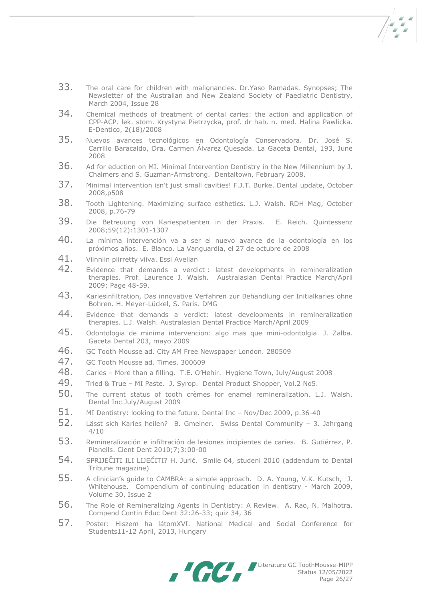- $\frac{1}{2}$
- 33. The oral care for children with malignancies. Dr.Yaso Ramadas. Synopses; The Newsletter of the Australian and New Zealand Society of Paediatric Dentistry, March 2004, Issue 28
- 34. Chemical methods of treatment of dental caries: the action and application of CPP-ACP. lek. stom. Krystyna Pietrzycka, prof. dr hab. n. med. Halina Pawlicka. E-Dentico, 2(18)/2008
- 35. Nuevos avances tecnológicos en Odontología Conservadora. Dr. José S. Carrillo Baracaldo, Dra. Carmen Álvarez Quesada. La Gaceta Dental, 193, June 2008
- 36. Ad for eduction on MI. Minimal Intervention Dentistry in the New Millennium by J. Chalmers and S. Guzman-Armstrong. Dentaltown, February 2008.
- 37. Minimal intervention isn't just small cavities! F.J.T. Burke. Dental update, October 2008,p508
- 38. Tooth Lightening. Maximizing surface esthetics. L.J. Walsh. RDH Mag, October 2008, p.76-79
- 39. Die Betreuung von Kariespatienten in der Praxis. E. Reich. Quintessenz 2008;59(12):1301-1307
- 40. La mínima intervención va a ser el nuevo avance de la odontología en los próximos años. E. Blanco. La Vanguardia, el 27 de octubre de 2008
- 41. Viinniin piirretty viiva. Essi Avellan
- 42. Evidence that demands a verdict : latest developments in remineralization therapies. Prof. Laurence J. Walsh. Australasian Dental Practice March/April 2009; Page 48-59.
- 43. Kariesinfiltration, Das innovative Verfahren zur Behandlung der Initialkaries ohne Bohren. H. Meyer-Lückel, S. Paris. DMG
- 44. Evidence that demands a verdict: latest developments in remineralization therapies. L.J. Walsh. Australasian Dental Practice March/April 2009
- 45. Odontologia de minima intervencion: algo mas que mini-odontolgia. J. Zalba. Gaceta Dental 203, mayo 2009
- 46. GC Tooth Mousse ad. City AM Free Newspaper London. 280509
- 47. GC Tooth Mousse ad. Times. 300609
- 48. Caries More than a filling. T.E. O'Hehir. Hygiene Town, July/August 2008
- 49. Tried & True MI Paste. J. Syrop. Dental Product Shopper, Vol.2 No5.
- 50. The current status of tooth crèmes for enamel remineralization. L.J. Walsh. Dental Inc.July/August 2009
- 51. MI Dentistry: looking to the future. Dental Inc Nov/Dec 2009, p.36-40
- 52. Lässt sich Karies heilen? B. Gmeiner. Swiss Dental Community 3. Jahrgang 4/10
- 53. Remineralización e infiltración de lesiones incipientes de caries. B. Gutiérrez, P. Planells. Cient Dent 2010;7;3:00-00
- 54. SPRIJEČITI ILI LIJEČITI? H. Jurić. Smile 04, studeni 2010 (addendum to Dental Tribune magazine)
- 55. A clinician's guide to CAMBRA: a simple approach. D. A. Young, V.K. Kutsch, J. Whitehouse. Compendium of continuing education in dentistry - March 2009, Volume 30, Issue 2
- 56. The Role of Remineralizing Agents in Dentistry: A Review. A. Rao, N. Malhotra. Compend Contin Educ Dent 32:26-33; quiz 34, 36
- 57. Poster: Hiszem ha látomXVI. National Medical and Social Conference for Students11-12 April, 2013, Hungary